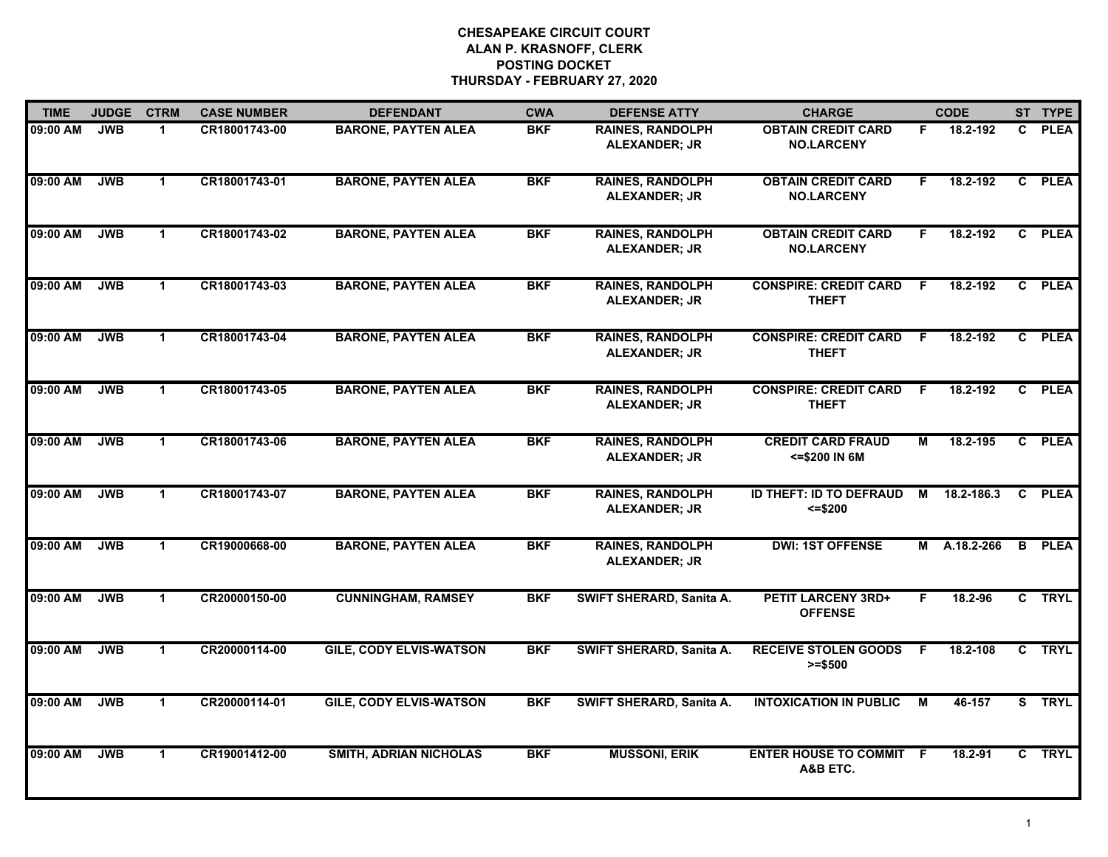| <b>TIME</b> | <b>JUDGE</b> | <b>CTRM</b>          | <b>CASE NUMBER</b> | <b>DEFENDANT</b>               | <b>CWA</b> | <b>DEFENSE ATTY</b>                             | <b>CHARGE</b>                                   |    | <b>CODE</b> |                | ST TYPE     |
|-------------|--------------|----------------------|--------------------|--------------------------------|------------|-------------------------------------------------|-------------------------------------------------|----|-------------|----------------|-------------|
| 09:00 AM    | <b>JWB</b>   | $\mathbf 1$          | CR18001743-00      | <b>BARONE, PAYTEN ALEA</b>     | <b>BKF</b> | <b>RAINES, RANDOLPH</b><br><b>ALEXANDER; JR</b> | <b>OBTAIN CREDIT CARD</b><br><b>NO.LARCENY</b>  | F  | 18.2-192    | C.             | <b>PLEA</b> |
| 09:00 AM    | <b>JWB</b>   | $\mathbf{1}$         | CR18001743-01      | <b>BARONE, PAYTEN ALEA</b>     | <b>BKF</b> | <b>RAINES, RANDOLPH</b><br><b>ALEXANDER; JR</b> | <b>OBTAIN CREDIT CARD</b><br><b>NO.LARCENY</b>  | F  | 18.2-192    | C              | <b>PLEA</b> |
| 09:00 AM    | <b>JWB</b>   | $\blacktriangleleft$ | CR18001743-02      | <b>BARONE, PAYTEN ALEA</b>     | <b>BKF</b> | <b>RAINES, RANDOLPH</b><br><b>ALEXANDER; JR</b> | <b>OBTAIN CREDIT CARD</b><br><b>NO.LARCENY</b>  | F  | 18.2-192    | $\mathbf{c}$   | <b>PLEA</b> |
| 09:00 AM    | <b>JWB</b>   | $\blacktriangleleft$ | CR18001743-03      | <b>BARONE, PAYTEN ALEA</b>     | <b>BKF</b> | <b>RAINES, RANDOLPH</b><br>ALEXANDER; JR        | <b>CONSPIRE: CREDIT CARD</b><br><b>THEFT</b>    | F. | 18.2-192    | C.             | <b>PLEA</b> |
| 09:00 AM    | <b>JWB</b>   | $\mathbf 1$          | CR18001743-04      | <b>BARONE, PAYTEN ALEA</b>     | <b>BKF</b> | <b>RAINES, RANDOLPH</b><br><b>ALEXANDER; JR</b> | <b>CONSPIRE: CREDIT CARD</b><br><b>THEFT</b>    | F  | 18.2-192    | $\mathbf{c}$   | <b>PLEA</b> |
| 09:00 AM    | <b>JWB</b>   | $\blacktriangleleft$ | CR18001743-05      | <b>BARONE, PAYTEN ALEA</b>     | <b>BKF</b> | <b>RAINES, RANDOLPH</b><br><b>ALEXANDER; JR</b> | <b>CONSPIRE: CREDIT CARD</b><br><b>THEFT</b>    | -F | 18.2-192    | C.             | <b>PLEA</b> |
| 09:00 AM    | <b>JWB</b>   | $\blacktriangleleft$ | CR18001743-06      | <b>BARONE, PAYTEN ALEA</b>     | <b>BKF</b> | <b>RAINES, RANDOLPH</b><br><b>ALEXANDER; JR</b> | <b>CREDIT CARD FRAUD</b><br><= \$200 IN 6M      | М  | 18.2-195    | $\overline{c}$ | <b>PLEA</b> |
| 09:00 AM    | <b>JWB</b>   | $\blacktriangleleft$ | CR18001743-07      | <b>BARONE, PAYTEN ALEA</b>     | <b>BKF</b> | <b>RAINES, RANDOLPH</b><br><b>ALEXANDER; JR</b> | <b>ID THEFT: ID TO DEFRAUD</b><br>$\le$ = \$200 | м  | 18.2-186.3  | C              | <b>PLEA</b> |
| 09:00 AM    | <b>JWB</b>   | $\blacktriangleleft$ | CR19000668-00      | <b>BARONE, PAYTEN ALEA</b>     | <b>BKF</b> | <b>RAINES, RANDOLPH</b><br>ALEXANDER; JR        | <b>DWI: 1ST OFFENSE</b>                         | М  | A.18.2-266  | $\mathbf{B}$   | <b>PLEA</b> |
| 09:00 AM    | <b>JWB</b>   | $\mathbf{1}$         | CR20000150-00      | <b>CUNNINGHAM, RAMSEY</b>      | <b>BKF</b> | SWIFT SHERARD, Sanita A.                        | <b>PETIT LARCENY 3RD+</b><br><b>OFFENSE</b>     | F. | 18.2-96     |                | C TRYL      |
| 09:00 AM    | <b>JWB</b>   | $\blacktriangleleft$ | CR20000114-00      | <b>GILE, CODY ELVIS-WATSON</b> | <b>BKF</b> | SWIFT SHERARD, Sanita A.                        | <b>RECEIVE STOLEN GOODS</b><br>$>= $500$        | -F | 18.2-108    |                | C TRYL      |
| 09:00 AM    | <b>JWB</b>   | $\mathbf{1}$         | CR20000114-01      | <b>GILE, CODY ELVIS-WATSON</b> | <b>BKF</b> | <b>SWIFT SHERARD, Sanita A.</b>                 | <b>INTOXICATION IN PUBLIC</b>                   | М  | 46-157      |                | S TRYL      |
| 09:00 AM    | <b>JWB</b>   | $\blacktriangleleft$ | CR19001412-00      | <b>SMITH, ADRIAN NICHOLAS</b>  | <b>BKF</b> | <b>MUSSONI, ERIK</b>                            | <b>ENTER HOUSE TO COMMIT F</b><br>A&B ETC.      |    | 18.2-91     |                | C TRYL      |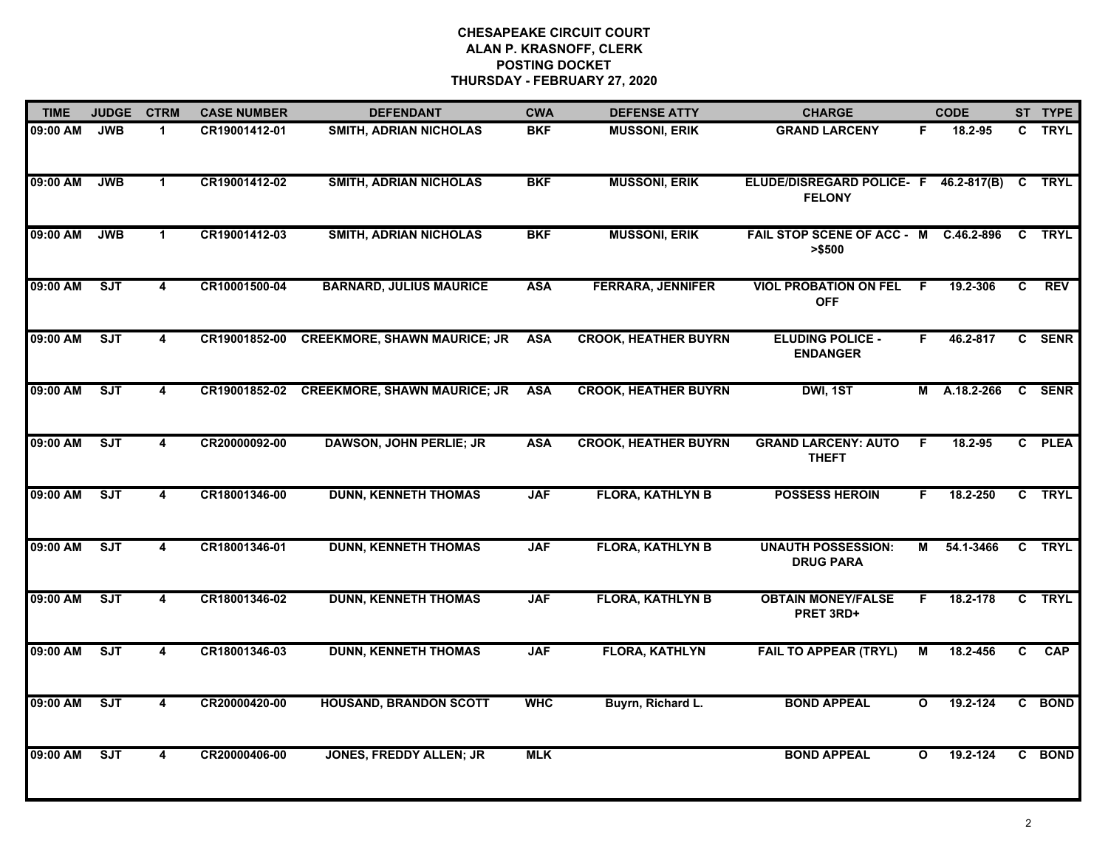| <b>TIME</b> | <b>JUDGE</b> | <b>CTRM</b>             | <b>CASE NUMBER</b> | <b>DEFENDANT</b>                           | <b>CWA</b> | <b>DEFENSE ATTY</b>         | <b>CHARGE</b>                                                 |              | <b>CODE</b>  |              | ST TYPE     |
|-------------|--------------|-------------------------|--------------------|--------------------------------------------|------------|-----------------------------|---------------------------------------------------------------|--------------|--------------|--------------|-------------|
| 09:00 AM    | <b>JWB</b>   | $\blacktriangleleft$    | CR19001412-01      | <b>SMITH, ADRIAN NICHOLAS</b>              | <b>BKF</b> | <b>MUSSONI, ERIK</b>        | <b>GRAND LARCENY</b>                                          | F.           | 18.2-95      |              | C TRYL      |
| 09:00 AM    | <b>JWB</b>   | $\mathbf 1$             | CR19001412-02      | <b>SMITH, ADRIAN NICHOLAS</b>              | <b>BKF</b> | <b>MUSSONI, ERIK</b>        | ELUDE/DISREGARD POLICE- F 46.2-817(B) C TRYL<br><b>FELONY</b> |              |              |              |             |
| 09:00 AM    | <b>JWB</b>   | $\blacktriangleleft$    | CR19001412-03      | <b>SMITH, ADRIAN NICHOLAS</b>              | <b>BKF</b> | <b>MUSSONI, ERIK</b>        | FAIL STOP SCENE OF ACC - M<br>> \$500                         |              | C.46.2-896   | C            | <b>TRYL</b> |
| 09:00 AM    | SJT          | 4                       | CR10001500-04      | <b>BARNARD, JULIUS MAURICE</b>             | <b>ASA</b> | <b>FERRARA, JENNIFER</b>    | <b>VIOL PROBATION ON FEL F</b><br><b>OFF</b>                  |              | 19.2-306     | C.           | <b>REV</b>  |
| 09:00 AM    | ST           | $\overline{\mathbf{4}}$ | CR19001852-00      | <b>CREEKMORE, SHAWN MAURICE; JR</b>        | <b>ASA</b> | <b>CROOK, HEATHER BUYRN</b> | <b>ELUDING POLICE -</b><br><b>ENDANGER</b>                    | F.           | 46.2-817     |              | C SENR      |
| 09:00 AM    | ST           | $\overline{\mathbf{4}}$ |                    | CR19001852-02 CREEKMORE, SHAWN MAURICE; JR | <b>ASA</b> | <b>CROOK, HEATHER BUYRN</b> | DWI, 1ST                                                      |              | M A.18.2-266 | $\mathbf{c}$ | <b>SENR</b> |
| 09:00 AM    | SJT          | $\overline{\mathbf{4}}$ | CR20000092-00      | <b>DAWSON, JOHN PERLIE; JR</b>             | <b>ASA</b> | <b>CROOK, HEATHER BUYRN</b> | <b>GRAND LARCENY: AUTO</b><br><b>THEFT</b>                    | -F           | 18.2-95      |              | C PLEA      |
| 09:00 AM    | ST           | $\overline{\mathbf{4}}$ | CR18001346-00      | <b>DUNN, KENNETH THOMAS</b>                | <b>JAF</b> | <b>FLORA, KATHLYN B</b>     | <b>POSSESS HEROIN</b>                                         | F.           | 18.2-250     |              | C TRYL      |
| 09:00 AM    | SJT          | 4                       | CR18001346-01      | <b>DUNN, KENNETH THOMAS</b>                | <b>JAF</b> | <b>FLORA, KATHLYN B</b>     | <b>UNAUTH POSSESSION:</b><br><b>DRUG PARA</b>                 | M            | 54.1-3466    |              | C TRYL      |
| 09:00 AM    | SJT          | 4                       | CR18001346-02      | <b>DUNN, KENNETH THOMAS</b>                | <b>JAF</b> | <b>FLORA, KATHLYN B</b>     | <b>OBTAIN MONEY/FALSE</b><br>PRET 3RD+                        | F.           | 18.2-178     |              | C TRYL      |
| 09:00 AM    | ST           | 4                       | CR18001346-03      | <b>DUNN, KENNETH THOMAS</b>                | <b>JAF</b> | <b>FLORA, KATHLYN</b>       | <b>FAIL TO APPEAR (TRYL)</b>                                  | M            | 18.2-456     | C            | <b>CAP</b>  |
| 09:00 AM    | ST           | $\overline{4}$          | CR20000420-00      | <b>HOUSAND, BRANDON SCOTT</b>              | <b>WHC</b> | Buyrn, Richard L.           | <b>BOND APPEAL</b>                                            | $\mathbf{o}$ | 19.2-124     |              | C BOND      |
| 09:00 AM    | ST           | $\overline{\mathbf{4}}$ | CR20000406-00      | <b>JONES, FREDDY ALLEN; JR</b>             | <b>MLK</b> |                             | <b>BOND APPEAL</b>                                            | $\mathbf{o}$ | 19.2-124     |              | C BOND      |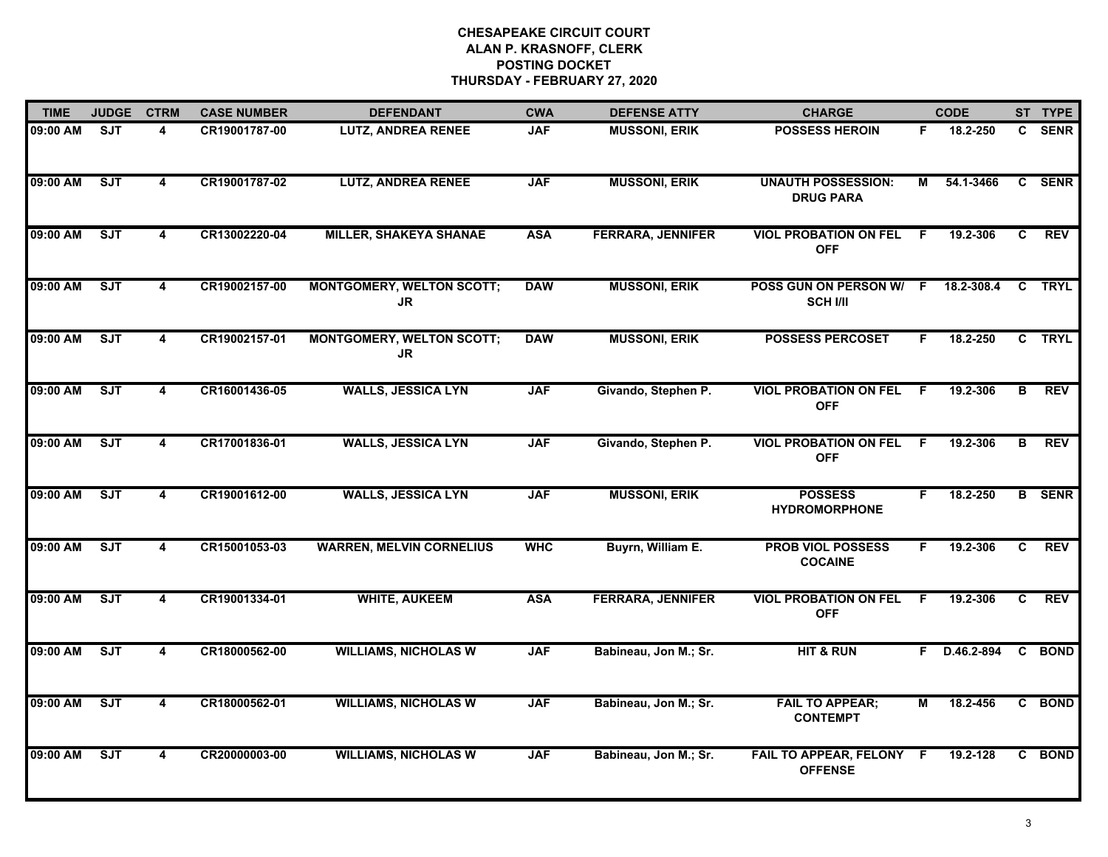| <b>TIME</b> | <b>JUDGE</b> | <b>CTRM</b>             | <b>CASE NUMBER</b> | <b>DEFENDANT</b>                        | <b>CWA</b> | <b>DEFENSE ATTY</b>      | <b>CHARGE</b>                                 |     | <b>CODE</b>  |                | ST TYPE       |
|-------------|--------------|-------------------------|--------------------|-----------------------------------------|------------|--------------------------|-----------------------------------------------|-----|--------------|----------------|---------------|
| 09:00 AM    | <b>SJT</b>   | 4                       | CR19001787-00      | <b>LUTZ, ANDREA RENEE</b>               | <b>JAF</b> | <b>MUSSONI, ERIK</b>     | <b>POSSESS HEROIN</b>                         | F.  | 18.2-250     |                | C SENR        |
| 09:00 AM    | ST           | $\overline{4}$          | CR19001787-02      | <b>LUTZ, ANDREA RENEE</b>               | <b>JAF</b> | <b>MUSSONI, ERIK</b>     | <b>UNAUTH POSSESSION:</b><br><b>DRUG PARA</b> | М   | 54.1-3466    |                | C SENR        |
| 09:00 AM    | ST           | $\overline{\mathbf{4}}$ | CR13002220-04      | <b>MILLER, SHAKEYA SHANAE</b>           | <b>ASA</b> | <b>FERRARA, JENNIFER</b> | <b>VIOL PROBATION ON FEL</b><br><b>OFF</b>    | F.  | 19.2-306     | $\overline{c}$ | <b>REV</b>    |
| 09:00 AM    | SJT          | 4                       | CR19002157-00      | <b>MONTGOMERY, WELTON SCOTT;</b><br>JR  | <b>DAW</b> | <b>MUSSONI, ERIK</b>     | POSS GUN ON PERSON W/ F<br><b>SCH I/II</b>    |     | 18.2-308.4   |                | C TRYL        |
| 09:00 AM    | ST           | 4                       | CR19002157-01      | <b>MONTGOMERY, WELTON SCOTT;</b><br>JR. | <b>DAW</b> | <b>MUSSONI, ERIK</b>     | <b>POSSESS PERCOSET</b>                       | F.  | 18.2-250     |                | C TRYL        |
| 09:00 AM    | ST           | 4                       | CR16001436-05      | <b>WALLS, JESSICA LYN</b>               | <b>JAF</b> | Givando, Stephen P.      | <b>VIOL PROBATION ON FEL</b><br><b>OFF</b>    | - F | 19.2-306     | B              | REV           |
| 09:00 AM    | <b>SJT</b>   | 4                       | CR17001836-01      | <b>WALLS, JESSICA LYN</b>               | <b>JAF</b> | Givando, Stephen P.      | <b>VIOL PROBATION ON FEL</b><br><b>OFF</b>    | - F | 19.2-306     | B              | <b>REV</b>    |
| 09:00 AM    | ST           | $\overline{4}$          | CR19001612-00      | <b>WALLS, JESSICA LYN</b>               | <b>JAF</b> | <b>MUSSONI, ERIK</b>     | <b>POSSESS</b><br><b>HYDROMORPHONE</b>        | F.  | 18.2-250     |                | <b>B</b> SENR |
| 09:00 AM    | SJT          | 4                       | CR15001053-03      | <b>WARREN, MELVIN CORNELIUS</b>         | <b>WHC</b> | Buyrn, William E.        | <b>PROB VIOL POSSESS</b><br><b>COCAINE</b>    | F.  | 19.2-306     | C              | <b>REV</b>    |
| 09:00 AM    | ST           | 4                       | CR19001334-01      | <b>WHITE, AUKEEM</b>                    | <b>ASA</b> | <b>FERRARA, JENNIFER</b> | <b>VIOL PROBATION ON FEL</b><br><b>OFF</b>    | F.  | 19.2-306     | C.             | <b>REV</b>    |
| 09:00 AM    | ST           | $\overline{\mathbf{4}}$ | CR18000562-00      | <b>WILLIAMS, NICHOLAS W</b>             | <b>JAF</b> | Babineau, Jon M.; Sr.    | <b>HIT &amp; RUN</b>                          |     | F D.46.2-894 | C              | <b>BOND</b>   |
| 09:00 AM    | ST           | $\overline{\mathbf{4}}$ | CR18000562-01      | <b>WILLIAMS, NICHOLAS W</b>             | <b>JAF</b> | Babineau, Jon M.; Sr.    | <b>FAIL TO APPEAR;</b><br><b>CONTEMPT</b>     | М   | 18.2-456     |                | C BOND        |
| 09:00 AM    | SJT          | 4                       | CR20000003-00      | <b>WILLIAMS, NICHOLAS W</b>             | <b>JAF</b> | Babineau, Jon M.; Sr.    | FAIL TO APPEAR, FELONY F<br><b>OFFENSE</b>    |     | 19.2-128     |                | C BOND        |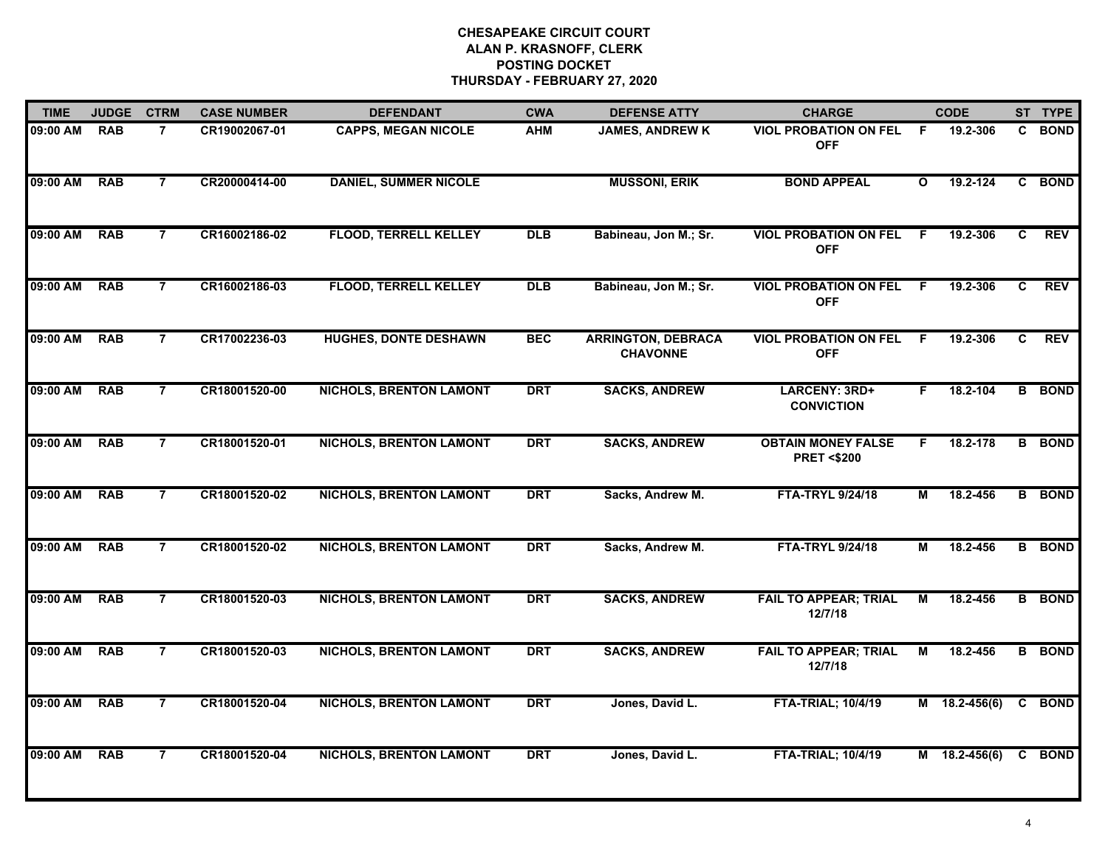| <b>TIME</b> | <b>JUDGE</b> | <b>CTRM</b>    | <b>CASE NUMBER</b> | <b>DEFENDANT</b>               | <b>CWA</b> | <b>DEFENSE ATTY</b>                          | <b>CHARGE</b>                                      |              | <b>CODE</b>     |   | ST TYPE       |
|-------------|--------------|----------------|--------------------|--------------------------------|------------|----------------------------------------------|----------------------------------------------------|--------------|-----------------|---|---------------|
| 09:00 AM    | <b>RAB</b>   | $\overline{7}$ | CR19002067-01      | <b>CAPPS, MEGAN NICOLE</b>     | <b>AHM</b> | <b>JAMES, ANDREW K</b>                       | <b>VIOL PROBATION ON FEL</b><br><b>OFF</b>         | F.           | 19.2-306        |   | C BOND        |
| 09:00 AM    | <b>RAB</b>   | $\overline{7}$ | CR20000414-00      | <b>DANIEL, SUMMER NICOLE</b>   |            | <b>MUSSONI, ERIK</b>                         | <b>BOND APPEAL</b>                                 | $\mathbf{o}$ | 19.2-124        |   | C BOND        |
| 09:00 AM    | <b>RAB</b>   | $\overline{7}$ | CR16002186-02      | <b>FLOOD, TERRELL KELLEY</b>   | <b>DLB</b> | Babineau, Jon M.; Sr.                        | <b>VIOL PROBATION ON FEL</b><br><b>OFF</b>         | F.           | 19.2-306        | C | <b>REV</b>    |
| 09:00 AM    | <b>RAB</b>   | $\overline{7}$ | CR16002186-03      | <b>FLOOD, TERRELL KELLEY</b>   | <b>DLB</b> | Babineau, Jon M.; Sr.                        | <b>VIOL PROBATION ON FEL</b><br><b>OFF</b>         | F            | 19.2-306        | C | <b>REV</b>    |
| 09:00 AM    | <b>RAB</b>   | $\overline{7}$ | CR17002236-03      | <b>HUGHES, DONTE DESHAWN</b>   | <b>BEC</b> | <b>ARRINGTON, DEBRACA</b><br><b>CHAVONNE</b> | <b>VIOL PROBATION ON FEL</b><br><b>OFF</b>         | F.           | 19.2-306        | C | <b>REV</b>    |
| 09:00 AM    | <b>RAB</b>   | $\overline{7}$ | CR18001520-00      | <b>NICHOLS, BRENTON LAMONT</b> | <b>DRT</b> | <b>SACKS, ANDREW</b>                         | LARCENY: 3RD+<br><b>CONVICTION</b>                 | F.           | 18.2-104        |   | <b>B</b> BOND |
| 09:00 AM    | <b>RAB</b>   | $\overline{7}$ | CR18001520-01      | <b>NICHOLS, BRENTON LAMONT</b> | <b>DRT</b> | <b>SACKS, ANDREW</b>                         | <b>OBTAIN MONEY FALSE</b><br><b>PRET &lt;\$200</b> | F.           | 18.2-178        |   | <b>B</b> BOND |
| 09:00 AM    | <b>RAB</b>   | $\overline{7}$ | CR18001520-02      | <b>NICHOLS, BRENTON LAMONT</b> | <b>DRT</b> | Sacks, Andrew M.                             | <b>FTA-TRYL 9/24/18</b>                            | М            | 18.2-456        |   | <b>B</b> BOND |
| 09:00 AM    | <b>RAB</b>   | $\overline{7}$ | CR18001520-02      | <b>NICHOLS, BRENTON LAMONT</b> | <b>DRT</b> | Sacks, Andrew M.                             | <b>FTA-TRYL 9/24/18</b>                            | м            | 18.2-456        |   | <b>B</b> BOND |
| 09:00 AM    | <b>RAB</b>   | $\overline{7}$ | CR18001520-03      | <b>NICHOLS, BRENTON LAMONT</b> | <b>DRT</b> | <b>SACKS, ANDREW</b>                         | <b>FAIL TO APPEAR; TRIAL</b><br>12/7/18            | М            | 18.2-456        |   | <b>B</b> BOND |
| 09:00 AM    | <b>RAB</b>   | $\overline{7}$ | CR18001520-03      | <b>NICHOLS, BRENTON LAMONT</b> | <b>DRT</b> | <b>SACKS, ANDREW</b>                         | <b>FAIL TO APPEAR; TRIAL</b><br>12/7/18            | м            | 18.2-456        |   | <b>B</b> BOND |
| 09:00 AM    | <b>RAB</b>   | $\overline{7}$ | CR18001520-04      | <b>NICHOLS, BRENTON LAMONT</b> | <b>DRT</b> | Jones, David L.                              | <b>FTA-TRIAL; 10/4/19</b>                          |              | M 18.2-456(6)   |   | C BOND        |
| 09:00 AM    | <b>RAB</b>   | $\overline{7}$ | CR18001520-04      | <b>NICHOLS, BRENTON LAMONT</b> | <b>DRT</b> | Jones, David L.                              | <b>FTA-TRIAL; 10/4/19</b>                          |              | $M$ 18.2-456(6) |   | C BOND        |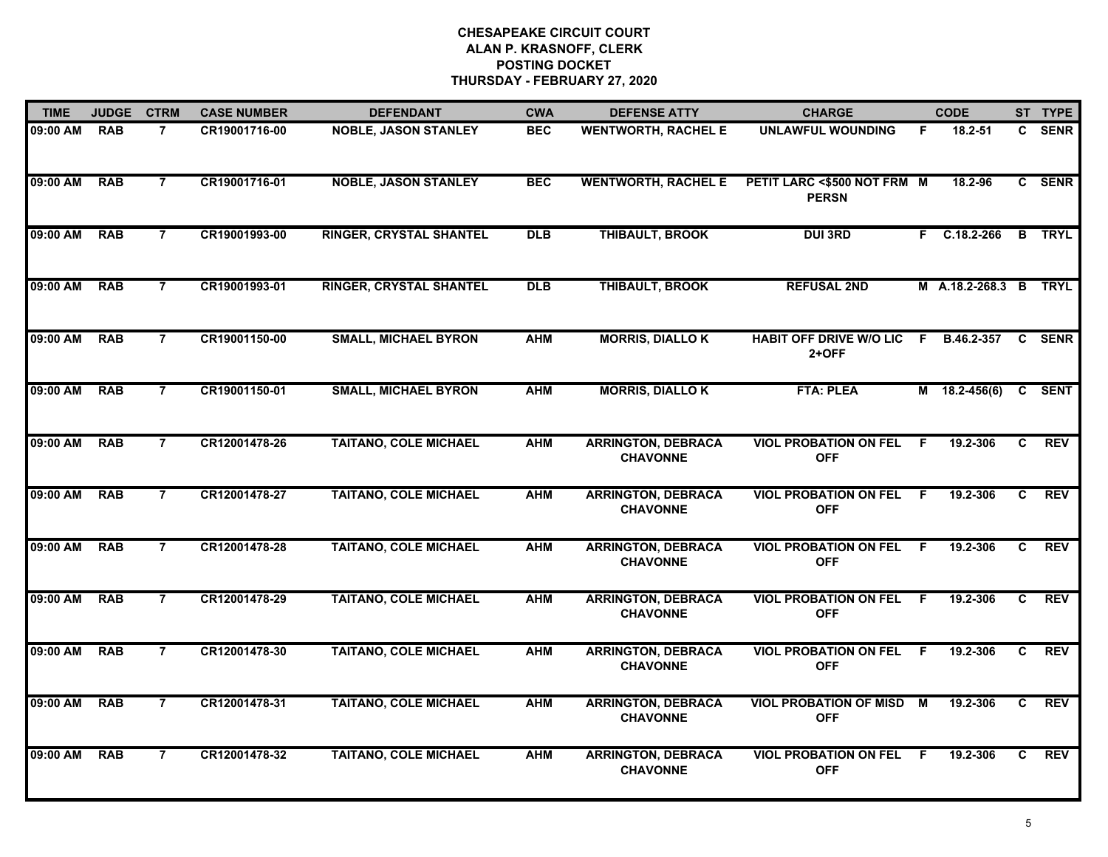| <b>TIME</b> | <b>JUDGE</b> | <b>CTRM</b>    | <b>CASE NUMBER</b> | <b>DEFENDANT</b>               | <b>CWA</b> | <b>DEFENSE ATTY</b>                          | <b>CHARGE</b>                                 |    | <b>CODE</b>           |                | ST TYPE       |
|-------------|--------------|----------------|--------------------|--------------------------------|------------|----------------------------------------------|-----------------------------------------------|----|-----------------------|----------------|---------------|
| 09:00 AM    | <b>RAB</b>   | $\overline{7}$ | CR19001716-00      | <b>NOBLE, JASON STANLEY</b>    | <b>BEC</b> | <b>WENTWORTH, RACHEL E</b>                   | <b>UNLAWFUL WOUNDING</b>                      | F. | 18.2-51               |                | C SENR        |
| 09:00 AM    | <b>RAB</b>   | $\overline{7}$ | CR19001716-01      | <b>NOBLE, JASON STANLEY</b>    | <b>BEC</b> | <b>WENTWORTH, RACHEL E</b>                   | PETIT LARC <\$500 NOT FRM M<br><b>PERSN</b>   |    | 18.2-96               |                | C SENR        |
| 09:00 AM    | <b>RAB</b>   | $\overline{7}$ | CR19001993-00      | <b>RINGER, CRYSTAL SHANTEL</b> | DLB        | <b>THIBAULT, BROOK</b>                       | <b>DUI 3RD</b>                                |    | $F$ C.18.2-266        |                | <b>B</b> TRYL |
| 09:00 AM    | <b>RAB</b>   | $\overline{7}$ | CR19001993-01      | <b>RINGER, CRYSTAL SHANTEL</b> | <b>DLB</b> | <b>THIBAULT, BROOK</b>                       | <b>REFUSAL 2ND</b>                            |    | M A.18.2-268.3 B TRYL |                |               |
| 09:00 AM    | <b>RAB</b>   | $\overline{7}$ | CR19001150-00      | <b>SMALL, MICHAEL BYRON</b>    | <b>AHM</b> | <b>MORRIS, DIALLOK</b>                       | <b>HABIT OFF DRIVE W/O LIC</b><br>$2+OFF$     | F  | B.46.2-357            | C.             | <b>SENR</b>   |
| 09:00 AM    | <b>RAB</b>   | $\overline{7}$ | CR19001150-01      | <b>SMALL, MICHAEL BYRON</b>    | <b>AHM</b> | <b>MORRIS, DIALLO K</b>                      | <b>FTA: PLEA</b>                              |    | M 18.2-456(6)         |                | C SENT        |
| 09:00 AM    | <b>RAB</b>   | $\overline{7}$ | CR12001478-26      | <b>TAITANO, COLE MICHAEL</b>   | <b>AHM</b> | <b>ARRINGTON, DEBRACA</b><br><b>CHAVONNE</b> | <b>VIOL PROBATION ON FEL F</b><br><b>OFF</b>  |    | 19.2-306              | C.             | <b>REV</b>    |
| 09:00 AM    | <b>RAB</b>   | $\overline{7}$ | CR12001478-27      | <b>TAITANO, COLE MICHAEL</b>   | <b>AHM</b> | <b>ARRINGTON, DEBRACA</b><br><b>CHAVONNE</b> | <b>VIOL PROBATION ON FEL</b><br><b>OFF</b>    | F. | 19.2-306              | $\overline{c}$ | <b>REV</b>    |
| 09:00 AM    | <b>RAB</b>   | $\overline{7}$ | CR12001478-28      | <b>TAITANO, COLE MICHAEL</b>   | <b>AHM</b> | <b>ARRINGTON, DEBRACA</b><br><b>CHAVONNE</b> | <b>VIOL PROBATION ON FEL</b><br><b>OFF</b>    | F. | 19.2-306              | C.             | <b>REV</b>    |
| 09:00 AM    | <b>RAB</b>   | $\overline{7}$ | CR12001478-29      | <b>TAITANO, COLE MICHAEL</b>   | <b>AHM</b> | <b>ARRINGTON, DEBRACA</b><br><b>CHAVONNE</b> | <b>VIOL PROBATION ON FEL</b><br><b>OFF</b>    | -F | 19.2-306              | C.             | <b>REV</b>    |
| 09:00 AM    | <b>RAB</b>   | $\overline{7}$ | CR12001478-30      | <b>TAITANO, COLE MICHAEL</b>   | <b>AHM</b> | <b>ARRINGTON, DEBRACA</b><br><b>CHAVONNE</b> | <b>VIOL PROBATION ON FEL F</b><br><b>OFF</b>  |    | 19.2-306              | C              | <b>REV</b>    |
| 09:00 AM    | <b>RAB</b>   | $\overline{7}$ | CR12001478-31      | <b>TAITANO, COLE MICHAEL</b>   | <b>AHM</b> | <b>ARRINGTON, DEBRACA</b><br><b>CHAVONNE</b> | <b>VIOL PROBATION OF MISD M</b><br><b>OFF</b> |    | 19.2-306              | C              | <b>REV</b>    |
| 09:00 AM    | <b>RAB</b>   | $\overline{7}$ | CR12001478-32      | <b>TAITANO, COLE MICHAEL</b>   | <b>AHM</b> | <b>ARRINGTON, DEBRACA</b><br><b>CHAVONNE</b> | <b>VIOL PROBATION ON FEL</b><br><b>OFF</b>    | F. | 19.2-306              | C              | <b>REV</b>    |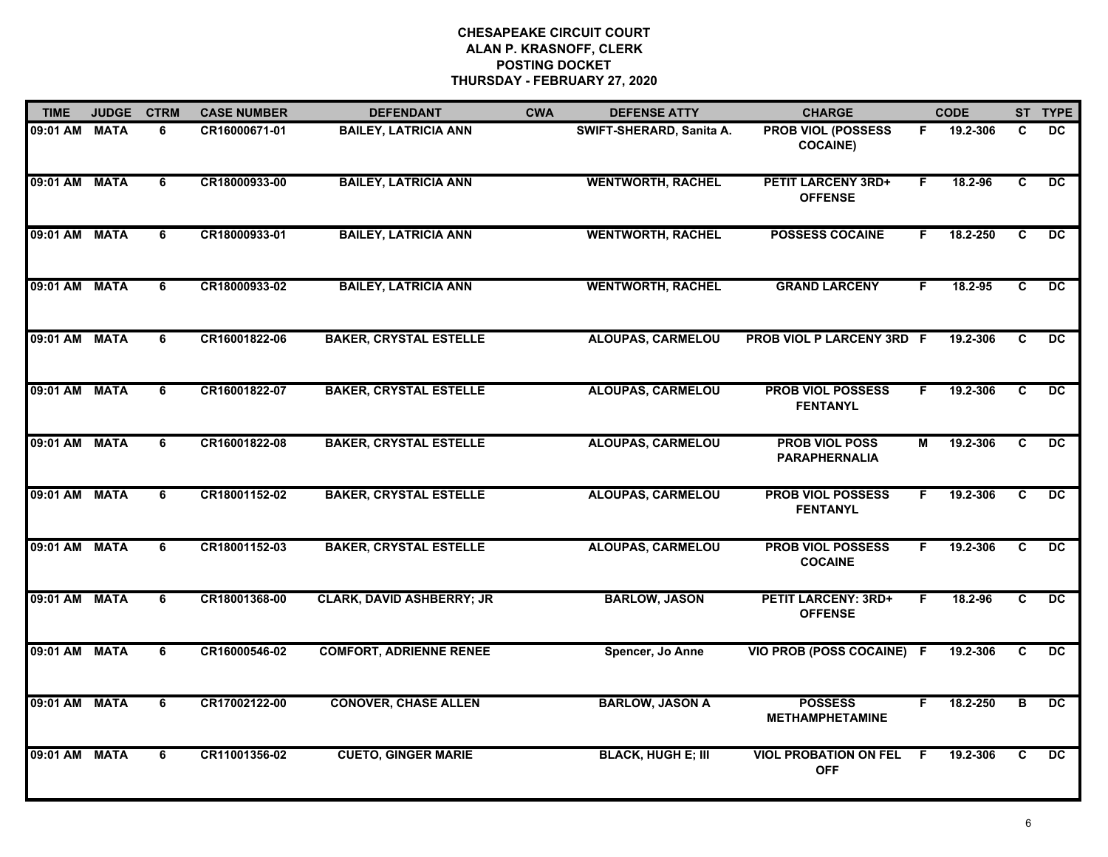| <b>TIME</b>   | <b>JUDGE</b> | <b>CTRM</b>    | <b>CASE NUMBER</b> | <b>DEFENDANT</b>                 | <b>CWA</b> | <b>DEFENSE ATTY</b>       | <b>CHARGE</b>                                 |    | <b>CODE</b> |                | ST TYPE         |
|---------------|--------------|----------------|--------------------|----------------------------------|------------|---------------------------|-----------------------------------------------|----|-------------|----------------|-----------------|
| 09:01 AM      | <b>MATA</b>  | 6              | CR16000671-01      | <b>BAILEY, LATRICIA ANN</b>      |            | SWIFT-SHERARD, Sanita A.  | <b>PROB VIOL (POSSESS</b><br><b>COCAINE)</b>  | F  | 19.2-306    | C              | <b>DC</b>       |
| 09:01 AM      | <b>MATA</b>  | 6              | CR18000933-00      | <b>BAILEY, LATRICIA ANN</b>      |            | <b>WENTWORTH, RACHEL</b>  | <b>PETIT LARCENY 3RD+</b><br><b>OFFENSE</b>   | F. | 18.2-96     | C.             | DC.             |
| 09:01 AM      | <b>MATA</b>  | 6              | CR18000933-01      | <b>BAILEY, LATRICIA ANN</b>      |            | <b>WENTWORTH, RACHEL</b>  | <b>POSSESS COCAINE</b>                        | F. | 18.2-250    | C              | $\overline{DC}$ |
| 09:01 AM MATA |              | 6              | CR18000933-02      | <b>BAILEY, LATRICIA ANN</b>      |            | <b>WENTWORTH, RACHEL</b>  | <b>GRAND LARCENY</b>                          | F. | 18.2-95     | C              | DC.             |
| 09:01 AM      | <b>MATA</b>  | 6              | CR16001822-06      | <b>BAKER, CRYSTAL ESTELLE</b>    |            | <b>ALOUPAS, CARMELOU</b>  | <b>PROB VIOL P LARCENY 3RD F</b>              |    | 19.2-306    | C.             | <b>DC</b>       |
| 09:01 AM MATA |              | 6              | CR16001822-07      | <b>BAKER, CRYSTAL ESTELLE</b>    |            | <b>ALOUPAS, CARMELOU</b>  | <b>PROB VIOL POSSESS</b><br><b>FENTANYL</b>   | F  | 19.2-306    | C              | DC              |
| 09:01 AM MATA |              | $\overline{6}$ | CR16001822-08      | <b>BAKER, CRYSTAL ESTELLE</b>    |            | <b>ALOUPAS, CARMELOU</b>  | <b>PROB VIOL POSS</b><br><b>PARAPHERNALIA</b> | М  | 19.2-306    | C              | DC              |
| 09:01 AM      | <b>MATA</b>  | $\overline{6}$ | CR18001152-02      | <b>BAKER, CRYSTAL ESTELLE</b>    |            | <b>ALOUPAS, CARMELOU</b>  | <b>PROB VIOL POSSESS</b><br><b>FENTANYL</b>   | F  | 19.2-306    | $\overline{c}$ | DC              |
| 09:01 AM      | <b>MATA</b>  | 6              | CR18001152-03      | <b>BAKER, CRYSTAL ESTELLE</b>    |            | <b>ALOUPAS, CARMELOU</b>  | <b>PROB VIOL POSSESS</b><br><b>COCAINE</b>    | F. | 19.2-306    | C              | <b>DC</b>       |
| 09:01 AM      | <b>MATA</b>  | 6              | CR18001368-00      | <b>CLARK, DAVID ASHBERRY; JR</b> |            | <b>BARLOW, JASON</b>      | <b>PETIT LARCENY: 3RD+</b><br><b>OFFENSE</b>  | F. | 18.2-96     | C              | <b>DC</b>       |
| 09:01 AM MATA |              | 6              | CR16000546-02      | <b>COMFORT, ADRIENNE RENEE</b>   |            | Spencer, Jo Anne          | VIO PROB (POSS COCAINE) F                     |    | 19.2-306    | C              | DC              |
| 09:01 AM MATA |              | 6              | CR17002122-00      | <b>CONOVER, CHASE ALLEN</b>      |            | <b>BARLOW, JASON A</b>    | <b>POSSESS</b><br><b>METHAMPHETAMINE</b>      | F. | 18.2-250    | B              | DC              |
| 09:01 AM      | <b>MATA</b>  | 6              | CR11001356-02      | <b>CUETO, GINGER MARIE</b>       |            | <b>BLACK, HUGH E; III</b> | <b>VIOL PROBATION ON FEL</b><br><b>OFF</b>    | F  | 19.2-306    | C              | $\overline{DC}$ |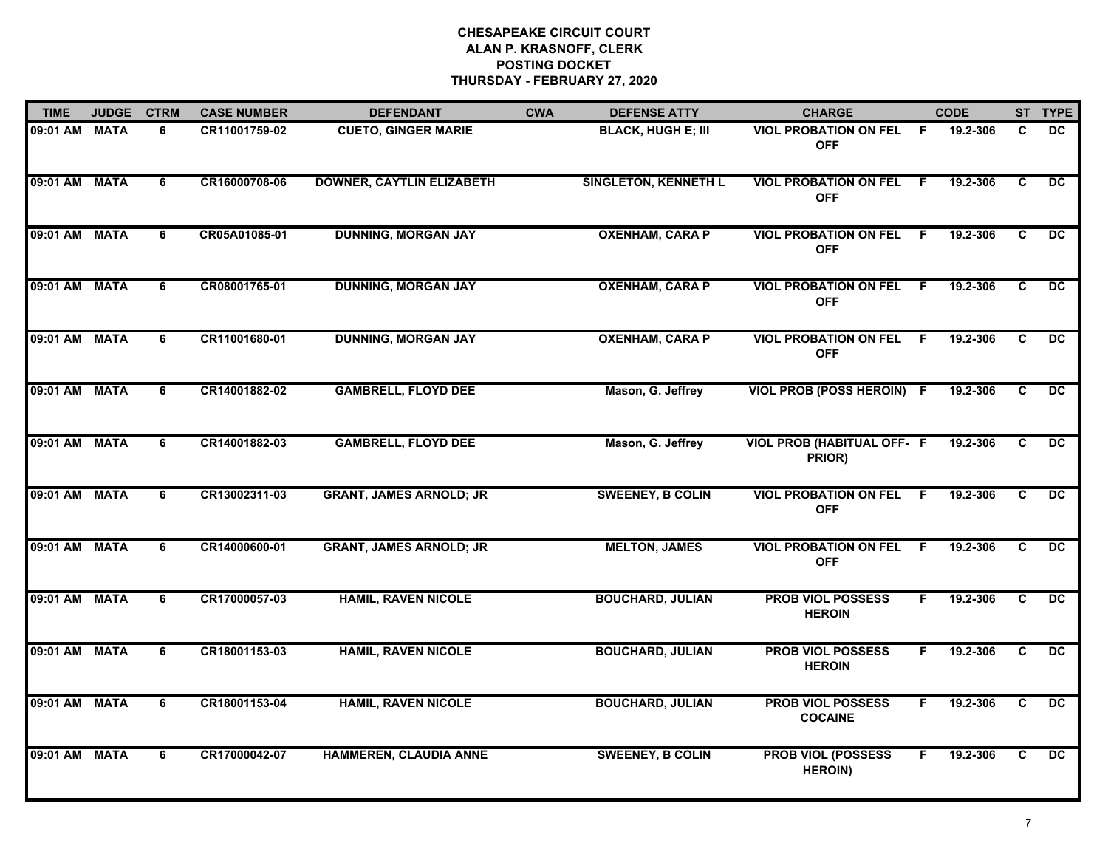| <b>TIME</b>   | <b>JUDGE</b> | <b>CTRM</b>    | <b>CASE NUMBER</b> | <b>DEFENDANT</b>                 | <b>CWA</b> | <b>DEFENSE ATTY</b>         | <b>CHARGE</b>                               |     | <b>CODE</b> |                | ST TYPE         |
|---------------|--------------|----------------|--------------------|----------------------------------|------------|-----------------------------|---------------------------------------------|-----|-------------|----------------|-----------------|
| 09:01 AM      | <b>MATA</b>  | 6              | CR11001759-02      | <b>CUETO, GINGER MARIE</b>       |            | <b>BLACK, HUGH E; III</b>   | <b>VIOL PROBATION ON FEL</b><br><b>OFF</b>  | - F | 19.2-306    | C              | DC.             |
| 09:01 AM      | <b>MATA</b>  | 6              | CR16000708-06      | <b>DOWNER, CAYTLIN ELIZABETH</b> |            | <b>SINGLETON, KENNETH L</b> | <b>VIOL PROBATION ON FEL</b><br><b>OFF</b>  | - F | 19.2-306    | C              | $\overline{DC}$ |
| 09:01 AM      | <b>MATA</b>  | 6              | CR05A01085-01      | <b>DUNNING, MORGAN JAY</b>       |            | <b>OXENHAM, CARA P</b>      | <b>VIOL PROBATION ON FEL</b><br><b>OFF</b>  | F.  | 19.2-306    | $\overline{c}$ | $\overline{DC}$ |
| 09:01 AM      | <b>MATA</b>  | 6              | CR08001765-01      | <b>DUNNING, MORGAN JAY</b>       |            | <b>OXENHAM, CARA P</b>      | <b>VIOL PROBATION ON FEL</b><br><b>OFF</b>  | F.  | 19.2-306    | C              | <b>DC</b>       |
| 09:01 AM MATA |              | 6              | CR11001680-01      | <b>DUNNING, MORGAN JAY</b>       |            | <b>OXENHAM, CARA P</b>      | <b>VIOL PROBATION ON FEL</b><br><b>OFF</b>  | -F  | 19.2-306    | C              | DC.             |
| 09:01 AM MATA |              | 6              | CR14001882-02      | <b>GAMBRELL, FLOYD DEE</b>       |            | Mason, G. Jeffrey           | VIOL PROB (POSS HEROIN) F                   |     | 19.2-306    | C              | $\overline{DC}$ |
| 09:01 AM MATA |              | $\overline{6}$ | CR14001882-03      | <b>GAMBRELL, FLOYD DEE</b>       |            | Mason, G. Jeffrey           | <b>VIOL PROB (HABITUAL OFF- F</b><br>PRIOR) |     | 19.2-306    | C              | $\overline{DC}$ |
| 09:01 AM      | <b>MATA</b>  | 6              | CR13002311-03      | <b>GRANT, JAMES ARNOLD; JR</b>   |            | <b>SWEENEY, B COLIN</b>     | <b>VIOL PROBATION ON FEL</b><br><b>OFF</b>  | -F  | 19.2-306    | C              | $\overline{DC}$ |
| 09:01 AM      | <b>MATA</b>  | 6              | CR14000600-01      | <b>GRANT, JAMES ARNOLD; JR</b>   |            | <b>MELTON, JAMES</b>        | <b>VIOL PROBATION ON FEL</b><br><b>OFF</b>  | F.  | 19.2-306    | C              | DC.             |
| 09:01 AM      | <b>MATA</b>  | 6              | CR17000057-03      | <b>HAMIL, RAVEN NICOLE</b>       |            | <b>BOUCHARD, JULIAN</b>     | <b>PROB VIOL POSSESS</b><br><b>HEROIN</b>   | F.  | 19.2-306    | C              | DC.             |
| 09:01 AM MATA |              | 6              | CR18001153-03      | <b>HAMIL, RAVEN NICOLE</b>       |            | <b>BOUCHARD, JULIAN</b>     | <b>PROB VIOL POSSESS</b><br><b>HEROIN</b>   | F.  | 19.2-306    | C              | $\overline{DC}$ |
| 09:01 AM MATA |              | 6              | CR18001153-04      | <b>HAMIL, RAVEN NICOLE</b>       |            | <b>BOUCHARD, JULIAN</b>     | <b>PROB VIOL POSSESS</b><br><b>COCAINE</b>  | F.  | 19.2-306    | C              | $\overline{DC}$ |
| 09:01 AM      | <b>MATA</b>  | 6              | CR17000042-07      | <b>HAMMEREN, CLAUDIA ANNE</b>    |            | <b>SWEENEY, B COLIN</b>     | <b>PROB VIOL (POSSESS</b><br><b>HEROIN)</b> | F   | 19.2-306    | C              | $\overline{DC}$ |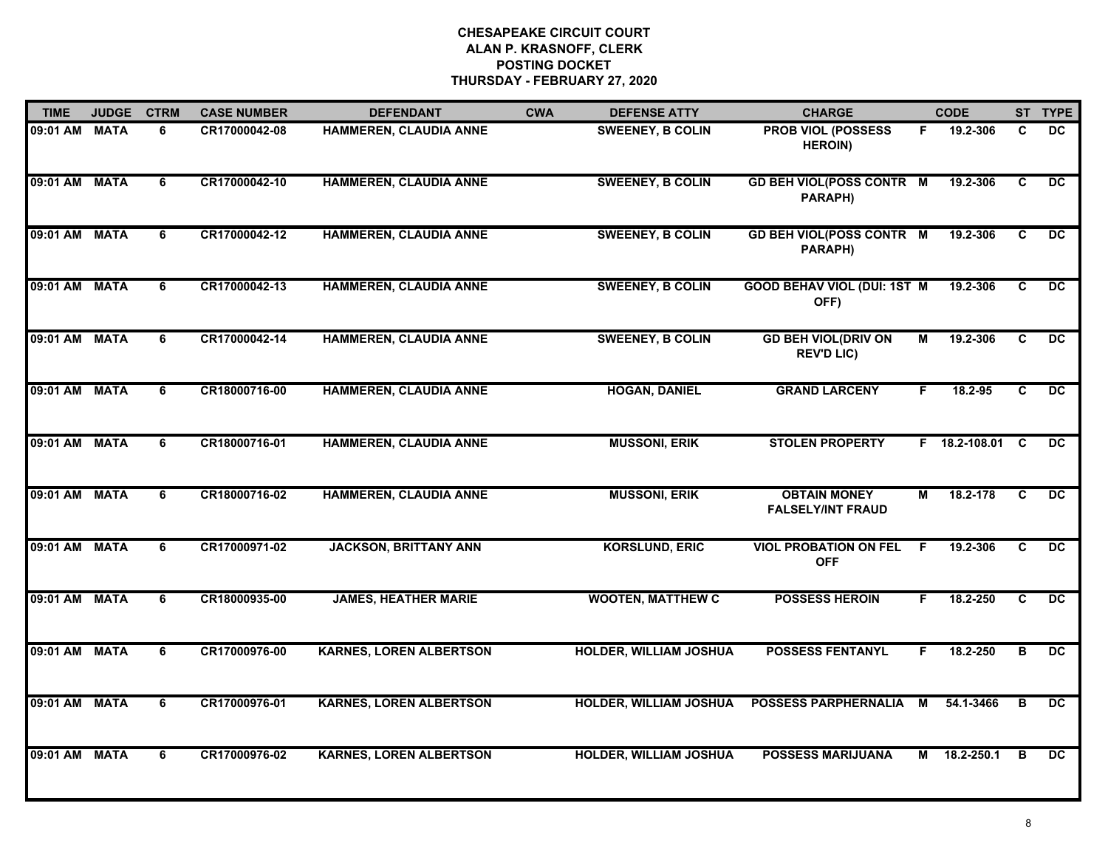| <b>TIME</b>   | <b>JUDGE</b> | <b>CTRM</b>    | <b>CASE NUMBER</b> | <b>DEFENDANT</b>               | <b>CWA</b> | <b>DEFENSE ATTY</b>           | <b>CHARGE</b>                                   |    | <b>CODE</b>     |                | ST TYPE         |
|---------------|--------------|----------------|--------------------|--------------------------------|------------|-------------------------------|-------------------------------------------------|----|-----------------|----------------|-----------------|
| 09:01 AM MATA |              | 6              | CR17000042-08      | HAMMEREN, CLAUDIA ANNE         |            | <b>SWEENEY, B COLIN</b>       | <b>PROB VIOL (POSSESS</b><br><b>HEROIN)</b>     | F. | 19.2-306        | C.             | <b>DC</b>       |
| 09:01 AM MATA |              | 6              | CR17000042-10      | <b>HAMMEREN, CLAUDIA ANNE</b>  |            | <b>SWEENEY, B COLIN</b>       | <b>GD BEH VIOL(POSS CONTR M</b><br>PARAPH)      |    | 19.2-306        | C              | $\overline{DC}$ |
| 09:01 AM MATA |              | 6              | CR17000042-12      | <b>HAMMEREN, CLAUDIA ANNE</b>  |            | <b>SWEENEY, B COLIN</b>       | <b>GD BEH VIOL(POSS CONTR M</b><br>PARAPH)      |    | 19.2-306        | C              | $\overline{DC}$ |
| 09:01 AM MATA |              | 6              | CR17000042-13      | <b>HAMMEREN, CLAUDIA ANNE</b>  |            | <b>SWEENEY, B COLIN</b>       | <b>GOOD BEHAV VIOL (DUI: 1ST M</b><br>OFF)      |    | 19.2-306        | C              | <b>DC</b>       |
| 09:01 AM MATA |              | 6              | CR17000042-14      | <b>HAMMEREN, CLAUDIA ANNE</b>  |            | <b>SWEENEY, B COLIN</b>       | <b>GD BEH VIOL(DRIV ON</b><br><b>REV'D LIC)</b> | М  | 19.2-306        | C              | <b>DC</b>       |
| 09:01 AM MATA |              | 6              | CR18000716-00      | <b>HAMMEREN, CLAUDIA ANNE</b>  |            | <b>HOGAN, DANIEL</b>          | <b>GRAND LARCENY</b>                            | F. | 18.2-95         | C              | $\overline{DC}$ |
| 09:01 AM MATA |              | $\overline{6}$ | CR18000716-01      | <b>HAMMEREN, CLAUDIA ANNE</b>  |            | <b>MUSSONI, ERIK</b>          | <b>STOLEN PROPERTY</b>                          |    | F 18.2-108.01 C |                | $\overline{DC}$ |
| 09:01 AM MATA |              | 6              | CR18000716-02      | <b>HAMMEREN, CLAUDIA ANNE</b>  |            | <b>MUSSONI, ERIK</b>          | <b>OBTAIN MONEY</b><br><b>FALSELY/INT FRAUD</b> | м  | 18.2-178        | C              | $\overline{DC}$ |
| 09:01 AM      | <b>MATA</b>  | 6              | CR17000971-02      | <b>JACKSON, BRITTANY ANN</b>   |            | <b>KORSLUND, ERIC</b>         | <b>VIOL PROBATION ON FEL</b><br><b>OFF</b>      | -F | 19.2-306        | C              | $\overline{DC}$ |
| 09:01 AM MATA |              | 6              | CR18000935-00      | <b>JAMES, HEATHER MARIE</b>    |            | <b>WOOTEN, MATTHEW C</b>      | <b>POSSESS HEROIN</b>                           | F  | 18.2-250        | C              | $\overline{DC}$ |
| 09:01 AM MATA |              | 6              | CR17000976-00      | <b>KARNES, LOREN ALBERTSON</b> |            | <b>HOLDER, WILLIAM JOSHUA</b> | <b>POSSESS FENTANYL</b>                         | F. | 18.2-250        | B              | $\overline{DC}$ |
| 09:01 AM MATA |              | 6              | CR17000976-01      | <b>KARNES, LOREN ALBERTSON</b> |            | <b>HOLDER, WILLIAM JOSHUA</b> | <b>POSSESS PARPHERNALIA</b>                     | М  | 54.1-3466       | $\overline{B}$ | DC              |
| 09:01 AM MATA |              | 6              | CR17000976-02      | <b>KARNES, LOREN ALBERTSON</b> |            | <b>HOLDER, WILLIAM JOSHUA</b> | <b>POSSESS MARIJUANA</b>                        | М  | 18.2-250.1      | в              | <b>DC</b>       |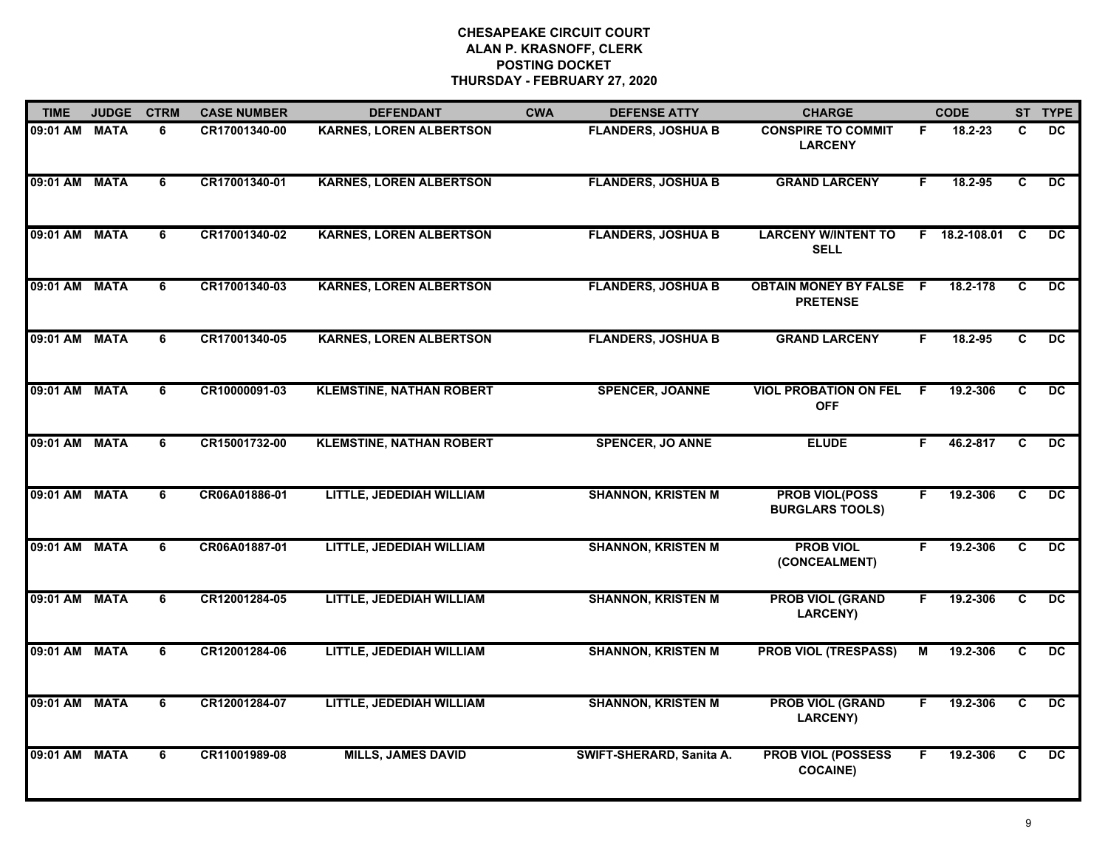| <b>TIME</b>   | <b>JUDGE</b> | <b>CTRM</b>    | <b>CASE NUMBER</b> | <b>DEFENDANT</b>                | <b>CWA</b> | <b>DEFENSE ATTY</b>       | <b>CHARGE</b>                                     |    | <b>CODE</b>     |                | ST TYPE         |
|---------------|--------------|----------------|--------------------|---------------------------------|------------|---------------------------|---------------------------------------------------|----|-----------------|----------------|-----------------|
| 09:01 AM      | <b>MATA</b>  | 6              | CR17001340-00      | <b>KARNES, LOREN ALBERTSON</b>  |            | <b>FLANDERS, JOSHUA B</b> | <b>CONSPIRE TO COMMIT</b><br><b>LARCENY</b>       | F. | 18.2-23         | C              | DC              |
| 09:01 AM MATA |              | $\overline{6}$ | CR17001340-01      | <b>KARNES, LOREN ALBERTSON</b>  |            | <b>FLANDERS, JOSHUA B</b> | <b>GRAND LARCENY</b>                              | F. | 18.2-95         | $\overline{c}$ | DC              |
| 09:01 AM      | <b>MATA</b>  | $\overline{6}$ | CR17001340-02      | <b>KARNES, LOREN ALBERTSON</b>  |            | <b>FLANDERS, JOSHUA B</b> | <b>LARCENY W/INTENT TO</b><br><b>SELL</b>         |    | F 18.2-108.01 C |                | $\overline{DC}$ |
| 09:01 AM      | <b>MATA</b>  | 6              | CR17001340-03      | <b>KARNES, LOREN ALBERTSON</b>  |            | <b>FLANDERS, JOSHUA B</b> | <b>OBTAIN MONEY BY FALSE F</b><br><b>PRETENSE</b> |    | 18.2-178        | C              | DC.             |
| 09:01 AM      | <b>MATA</b>  | 6              | CR17001340-05      | <b>KARNES, LOREN ALBERTSON</b>  |            | <b>FLANDERS, JOSHUA B</b> | <b>GRAND LARCENY</b>                              | F. | 18.2-95         | C              | DC.             |
| 09:01 AM MATA |              | $\overline{6}$ | CR10000091-03      | <b>KLEMSTINE, NATHAN ROBERT</b> |            | <b>SPENCER, JOANNE</b>    | <b>VIOL PROBATION ON FEL</b><br><b>OFF</b>        | -F | 19.2-306        | C              | DC              |
| 09:01 AM      | <b>MATA</b>  | $\overline{6}$ | CR15001732-00      | <b>KLEMSTINE, NATHAN ROBERT</b> |            | <b>SPENCER, JO ANNE</b>   | <b>ELUDE</b>                                      | F. | 46.2-817        | C              | DC              |
| 09:01 AM      | <b>MATA</b>  | $\overline{6}$ | CR06A01886-01      | LITTLE, JEDEDIAH WILLIAM        |            | <b>SHANNON, KRISTEN M</b> | <b>PROB VIOL(POSS</b><br><b>BURGLARS TOOLS)</b>   | F  | 19.2-306        | $\overline{c}$ | $\overline{DC}$ |
| 09:01 AM      | <b>MATA</b>  | 6              | CR06A01887-01      | LITTLE, JEDEDIAH WILLIAM        |            | <b>SHANNON, KRISTEN M</b> | <b>PROB VIOL</b><br>(CONCEALMENT)                 | F. | 19.2-306        | C              | <b>DC</b>       |
| 09:01 AM MATA |              | 6              | CR12001284-05      | LITTLE, JEDEDIAH WILLIAM        |            | <b>SHANNON, KRISTEN M</b> | <b>PROB VIOL (GRAND</b><br><b>LARCENY)</b>        | F. | 19.2-306        | C              | DC.             |
| 09:01 AM      | <b>MATA</b>  | 6              | CR12001284-06      | LITTLE, JEDEDIAH WILLIAM        |            | <b>SHANNON, KRISTEN M</b> | <b>PROB VIOL (TRESPASS)</b>                       | м  | 19.2-306        | C              | DC              |
| 09:01 AM      | <b>MATA</b>  | 6              | CR12001284-07      | LITTLE, JEDEDIAH WILLIAM        |            | <b>SHANNON, KRISTEN M</b> | <b>PROB VIOL (GRAND</b><br><b>LARCENY)</b>        | F  | 19.2-306        | C              | $\overline{DC}$ |
| 09:01 AM      | <b>MATA</b>  | 6              | CR11001989-08      | <b>MILLS, JAMES DAVID</b>       |            | SWIFT-SHERARD, Sanita A.  | <b>PROB VIOL (POSSESS</b><br><b>COCAINE)</b>      | F. | 19.2-306        | C              | $\overline{DC}$ |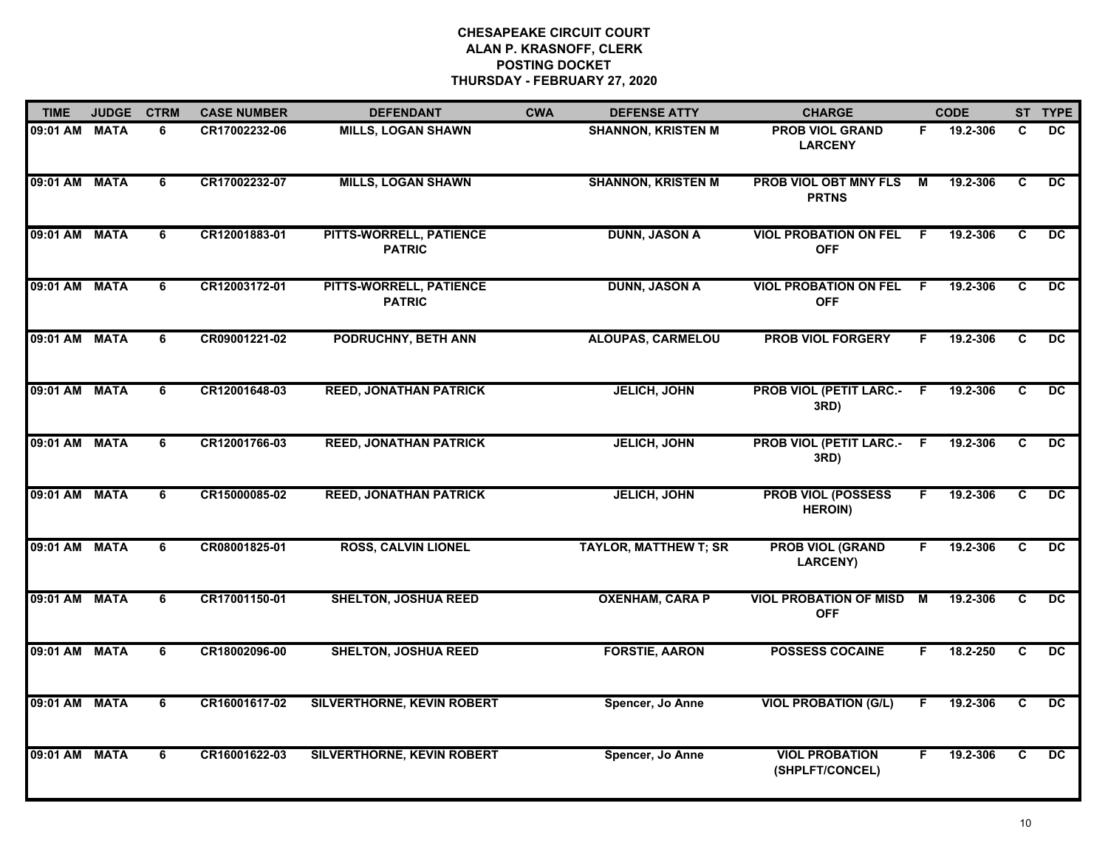| <b>TIME</b>   | <b>JUDGE</b> | <b>CTRM</b>    | <b>CASE NUMBER</b> | <b>DEFENDANT</b>                         | <b>CWA</b> | <b>DEFENSE ATTY</b>          | <b>CHARGE</b>                                |    | <b>CODE</b> |                         | ST TYPE         |
|---------------|--------------|----------------|--------------------|------------------------------------------|------------|------------------------------|----------------------------------------------|----|-------------|-------------------------|-----------------|
| 09:01 AM MATA |              | 6              | CR17002232-06      | <b>MILLS, LOGAN SHAWN</b>                |            | <b>SHANNON, KRISTEN M</b>    | <b>PROB VIOL GRAND</b><br><b>LARCENY</b>     | F. | 19.2-306    | C                       | DC              |
| 09:01 AM MATA |              | 6              | CR17002232-07      | <b>MILLS, LOGAN SHAWN</b>                |            | <b>SHANNON, KRISTEN M</b>    | <b>PROB VIOL OBT MNY FLS</b><br><b>PRTNS</b> | М  | 19.2-306    | C                       | $\overline{DC}$ |
| 09:01 AM      | <b>MATA</b>  | 6              | CR12001883-01      | PITTS-WORRELL, PATIENCE<br><b>PATRIC</b> |            | <b>DUNN, JASON A</b>         | <b>VIOL PROBATION ON FEL</b><br><b>OFF</b>   | -F | 19.2-306    | C                       | $\overline{DC}$ |
| 09:01 AM MATA |              | 6              | CR12003172-01      | PITTS-WORRELL, PATIENCE<br><b>PATRIC</b> |            | <b>DUNN, JASON A</b>         | <b>VIOL PROBATION ON FEL</b><br><b>OFF</b>   | F. | 19.2-306    | C                       | <b>DC</b>       |
| 09:01 AM MATA |              | 6              | CR09001221-02      | PODRUCHNY, BETH ANN                      |            | <b>ALOUPAS, CARMELOU</b>     | <b>PROB VIOL FORGERY</b>                     | F. | 19.2-306    | C                       | DC.             |
| 09:01 AM MATA |              | 6              | CR12001648-03      | <b>REED, JONATHAN PATRICK</b>            |            | <b>JELICH, JOHN</b>          | <b>PROB VIOL (PETIT LARC.- F</b><br>3RD)     |    | 19.2-306    | C                       | $\overline{DC}$ |
| 09:01 AM MATA |              | 6              | CR12001766-03      | <b>REED, JONATHAN PATRICK</b>            |            | <b>JELICH, JOHN</b>          | <b>PROB VIOL (PETIT LARC.- F</b><br>3RD)     |    | 19.2-306    | C                       | $\overline{DC}$ |
| 09:01 AM      | <b>MATA</b>  | $\overline{6}$ | CR15000085-02      | <b>REED, JONATHAN PATRICK</b>            |            | <b>JELICH, JOHN</b>          | <b>PROB VIOL (POSSESS</b><br><b>HEROIN)</b>  | F  | 19.2-306    | $\overline{\mathbf{c}}$ | $\overline{DC}$ |
| 09:01 AM MATA |              | 6              | CR08001825-01      | <b>ROSS, CALVIN LIONEL</b>               |            | <b>TAYLOR, MATTHEW T; SR</b> | <b>PROB VIOL (GRAND</b><br><b>LARCENY)</b>   | F. | 19.2-306    | C                       | <b>DC</b>       |
| 09:01 AM MATA |              | 6              | CR17001150-01      | <b>SHELTON, JOSHUA REED</b>              |            | <b>OXENHAM, CARA P</b>       | <b>VIOL PROBATION OF MISD</b><br><b>OFF</b>  | M  | 19.2-306    | C                       | <b>DC</b>       |
| 09:01 AM MATA |              | 6              | CR18002096-00      | <b>SHELTON, JOSHUA REED</b>              |            | <b>FORSTIE, AARON</b>        | <b>POSSESS COCAINE</b>                       | F. | 18.2-250    | C                       | $\overline{DC}$ |
| 09:01 AM MATA |              | 6              | CR16001617-02      | SILVERTHORNE, KEVIN ROBERT               |            | Spencer, Jo Anne             | <b>VIOL PROBATION (G/L)</b>                  | F. | 19.2-306    | C                       | DC.             |
| 09:01 AM MATA |              | 6              | CR16001622-03      | <b>SILVERTHORNE, KEVIN ROBERT</b>        |            | Spencer, Jo Anne             | <b>VIOL PROBATION</b><br>(SHPLFT/CONCEL)     | F. | 19.2-306    | $\overline{\mathbf{c}}$ | $\overline{DC}$ |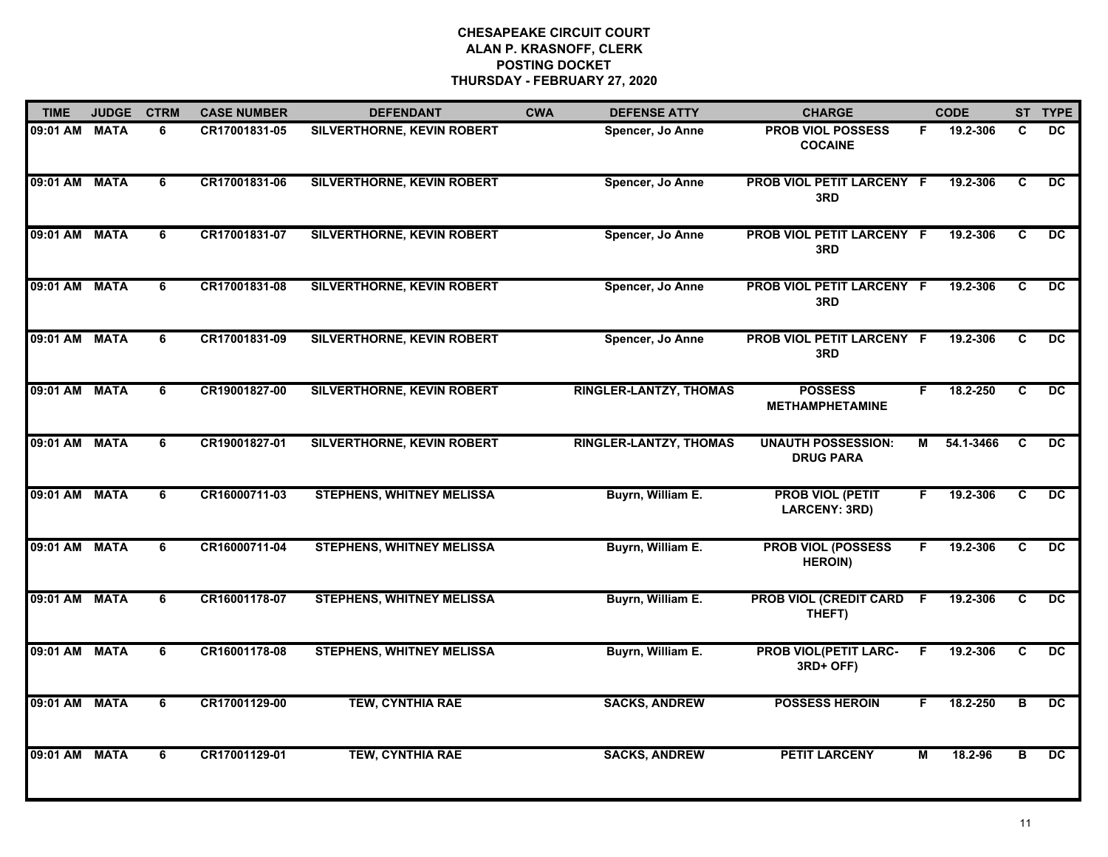| <b>TIME</b>   | <b>JUDGE</b> | <b>CTRM</b> | <b>CASE NUMBER</b> | <b>DEFENDANT</b>                  | <b>CWA</b> | <b>DEFENSE ATTY</b>           | <b>CHARGE</b>                                 |                | <b>CODE</b> |                         | ST TYPE         |
|---------------|--------------|-------------|--------------------|-----------------------------------|------------|-------------------------------|-----------------------------------------------|----------------|-------------|-------------------------|-----------------|
| 09:01 AM MATA |              | 6           | CR17001831-05      | <b>SILVERTHORNE, KEVIN ROBERT</b> |            | Spencer, Jo Anne              | <b>PROB VIOL POSSESS</b><br><b>COCAINE</b>    | F.             | 19.2-306    | C                       | <b>DC</b>       |
| 09:01 AM MATA |              | 6           | CR17001831-06      | <b>SILVERTHORNE, KEVIN ROBERT</b> |            | Spencer, Jo Anne              | PROB VIOL PETIT LARCENY F<br>3RD              |                | 19.2-306    | C                       | <b>DC</b>       |
| 09:01 AM MATA |              | 6           | CR17001831-07      | SILVERTHORNE, KEVIN ROBERT        |            | Spencer, Jo Anne              | PROB VIOL PETIT LARCENY F<br>3RD              |                | 19.2-306    | $\overline{\mathbf{c}}$ | $\overline{DC}$ |
| 09:01 AM MATA |              | 6           | CR17001831-08      | SILVERTHORNE, KEVIN ROBERT        |            | Spencer, Jo Anne              | PROB VIOL PETIT LARCENY F<br>3RD              |                | 19.2-306    | C                       | DC.             |
| 09:01 AM MATA |              | 6           | CR17001831-09      | SILVERTHORNE, KEVIN ROBERT        |            | Spencer, Jo Anne              | PROB VIOL PETIT LARCENY F<br>3RD              |                | 19.2-306    | C                       | DC.             |
| 09:01 AM MATA |              | 6           | CR19001827-00      | <b>SILVERTHORNE, KEVIN ROBERT</b> |            | <b>RINGLER-LANTZY, THOMAS</b> | <b>POSSESS</b><br><b>METHAMPHETAMINE</b>      | F              | 18.2-250    | C                       | $\overline{DC}$ |
| 09:01 AM MATA |              | 6           | CR19001827-01      | <b>SILVERTHORNE, KEVIN ROBERT</b> |            | <b>RINGLER-LANTZY, THOMAS</b> | <b>UNAUTH POSSESSION:</b><br><b>DRUG PARA</b> | м              | 54.1-3466   | C                       | DC              |
| 09:01 AM MATA |              | 6           | CR16000711-03      | <b>STEPHENS, WHITNEY MELISSA</b>  |            | Buyrn, William E.             | <b>PROB VIOL (PETIT</b><br>LARCENY: 3RD)      | F              | 19.2-306    | $\overline{c}$          | $\overline{DC}$ |
| 09:01 AM      | <b>MATA</b>  | 6           | CR16000711-04      | <b>STEPHENS, WHITNEY MELISSA</b>  |            | Buyrn, William E.             | <b>PROB VIOL (POSSESS</b><br><b>HEROIN)</b>   | F.             | 19.2-306    | C                       | DC.             |
| 09:01 AM MATA |              | 6           | CR16001178-07      | <b>STEPHENS, WHITNEY MELISSA</b>  |            | Buyrn, William E.             | PROB VIOL (CREDIT CARD<br>THEFT)              | F.             | 19.2-306    | C                       | <b>DC</b>       |
| 09:01 AM MATA |              | 6           | CR16001178-08      | <b>STEPHENS, WHITNEY MELISSA</b>  |            | Buyrn, William E.             | <b>PROB VIOL(PETIT LARC-</b><br>3RD+ OFF)     | F.             | 19.2-306    | C                       | $\overline{DC}$ |
| 09:01 AM MATA |              | 6           | CR17001129-00      | <b>TEW, CYNTHIA RAE</b>           |            | <b>SACKS, ANDREW</b>          | <b>POSSESS HEROIN</b>                         |                | 18.2-250    | в                       | $\overline{DC}$ |
| 09:01 AM      | <b>MATA</b>  | 6           | CR17001129-01      | <b>TEW, CYNTHIA RAE</b>           |            | <b>SACKS, ANDREW</b>          | <b>PETIT LARCENY</b>                          | $\overline{M}$ | 18.2-96     | в                       | $\overline{DC}$ |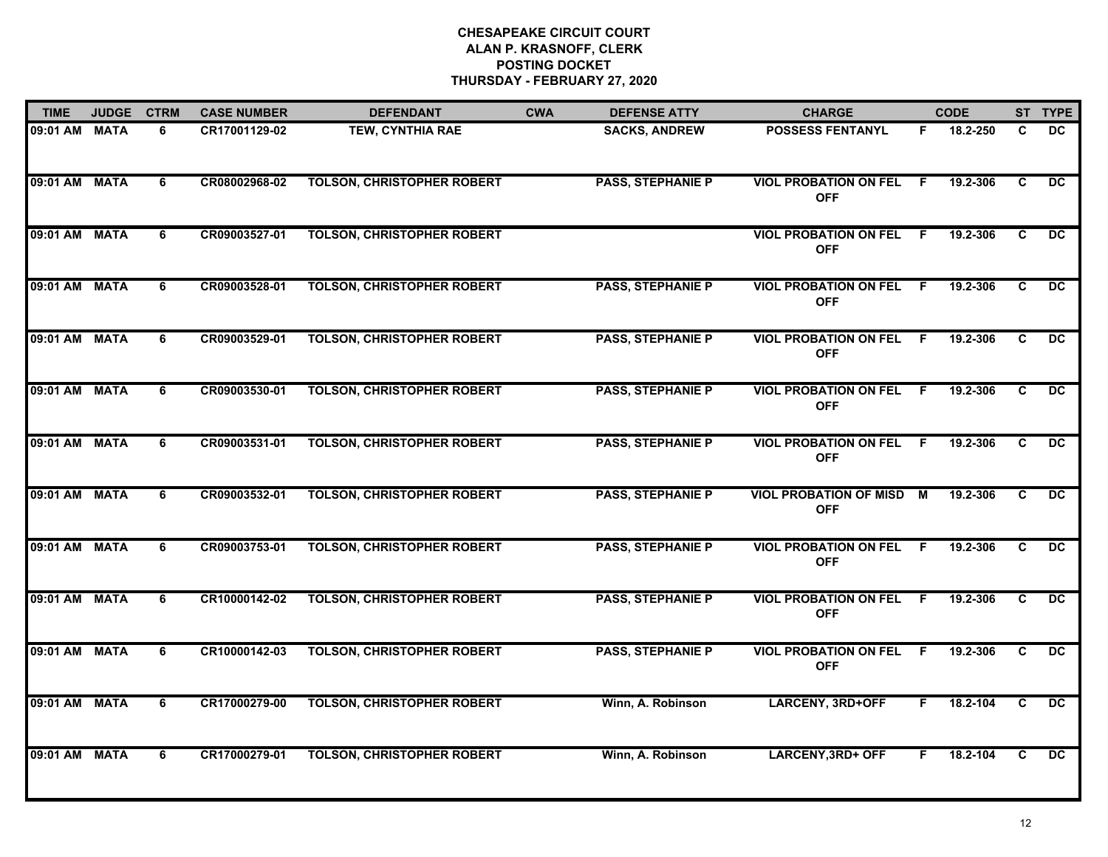| <b>TIME</b>   | <b>JUDGE</b> | <b>CTRM</b> | <b>CASE NUMBER</b> | <b>DEFENDANT</b>                  | <b>CWA</b> | <b>DEFENSE ATTY</b>      | <b>CHARGE</b>                                |                | <b>CODE</b> |    | ST TYPE         |
|---------------|--------------|-------------|--------------------|-----------------------------------|------------|--------------------------|----------------------------------------------|----------------|-------------|----|-----------------|
| 09:01 AM MATA |              | 6           | CR17001129-02      | <b>TEW, CYNTHIA RAE</b>           |            | <b>SACKS, ANDREW</b>     | <b>POSSESS FENTANYL</b>                      | F              | 18.2-250    | C  | <b>DC</b>       |
| 09:01 AM MATA |              | 6           | CR08002968-02      | <b>TOLSON, CHRISTOPHER ROBERT</b> |            | <b>PASS, STEPHANIE P</b> | <b>VIOL PROBATION ON FEL</b><br><b>OFF</b>   | - F            | 19.2-306    | C  | <b>DC</b>       |
| 09:01 AM      | <b>MATA</b>  | 6           | CR09003527-01      | <b>TOLSON, CHRISTOPHER ROBERT</b> |            |                          | <b>VIOL PROBATION ON FEL</b><br><b>OFF</b>   | F.             | 19.2-306    | C  | $\overline{DC}$ |
| 09:01 AM      | <b>MATA</b>  | 6           | CR09003528-01      | <b>TOLSON, CHRISTOPHER ROBERT</b> |            | <b>PASS, STEPHANIE P</b> | <b>VIOL PROBATION ON FEL</b><br><b>OFF</b>   | E              | 19.2-306    | C  | <b>DC</b>       |
| 09:01 AM MATA |              | 6           | CR09003529-01      | <b>TOLSON, CHRISTOPHER ROBERT</b> |            | <b>PASS, STEPHANIE P</b> | <b>VIOL PROBATION ON FEL</b><br><b>OFF</b>   | - F            | 19.2-306    | C  | DC.             |
| 09:01 AM MATA |              | 6           | CR09003530-01      | <b>TOLSON, CHRISTOPHER ROBERT</b> |            | <b>PASS, STEPHANIE P</b> | <b>VIOL PROBATION ON FEL F</b><br><b>OFF</b> |                | 19.2-306    | C  | $\overline{DC}$ |
| 09:01 AM MATA |              | 6           | CR09003531-01      | <b>TOLSON, CHRISTOPHER ROBERT</b> |            | <b>PASS, STEPHANIE P</b> | <b>VIOL PROBATION ON FEL F</b><br><b>OFF</b> |                | 19.2-306    | C. | <b>DC</b>       |
| 09:01 AM      | <b>MATA</b>  | 6           | CR09003532-01      | <b>TOLSON, CHRISTOPHER ROBERT</b> |            | <b>PASS, STEPHANIE P</b> | <b>VIOL PROBATION OF MISD</b><br><b>OFF</b>  | $\overline{M}$ | 19.2-306    | C  | $\overline{DC}$ |
| 09:01 AM MATA |              | 6           | CR09003753-01      | <b>TOLSON, CHRISTOPHER ROBERT</b> |            | <b>PASS, STEPHANIE P</b> | <b>VIOL PROBATION ON FEL</b><br><b>OFF</b>   | F              | 19.2-306    | C  | <b>DC</b>       |
| 09:01 AM MATA |              | 6           | CR10000142-02      | <b>TOLSON, CHRISTOPHER ROBERT</b> |            | <b>PASS, STEPHANIE P</b> | <b>VIOL PROBATION ON FEL</b><br><b>OFF</b>   | -F             | 19.2-306    | C  | <b>DC</b>       |
| 09:01 AM MATA |              | 6           | CR10000142-03      | <b>TOLSON, CHRISTOPHER ROBERT</b> |            | <b>PASS, STEPHANIE P</b> | <b>VIOL PROBATION ON FEL</b><br><b>OFF</b>   | -F             | 19.2-306    | C  | $\overline{DC}$ |
| 09:01 AM MATA |              | 6           | CR17000279-00      | <b>TOLSON, CHRISTOPHER ROBERT</b> |            | Winn, A. Robinson        | <b>LARCENY, 3RD+OFF</b>                      | F              | 18.2-104    | C  | DC.             |
| 09:01 AM MATA |              | 6           | CR17000279-01      | <b>TOLSON, CHRISTOPHER ROBERT</b> |            | Winn, A. Robinson        | <b>LARCENY, 3RD+ OFF</b>                     | F.             | 18.2-104    | C  | $\overline{DC}$ |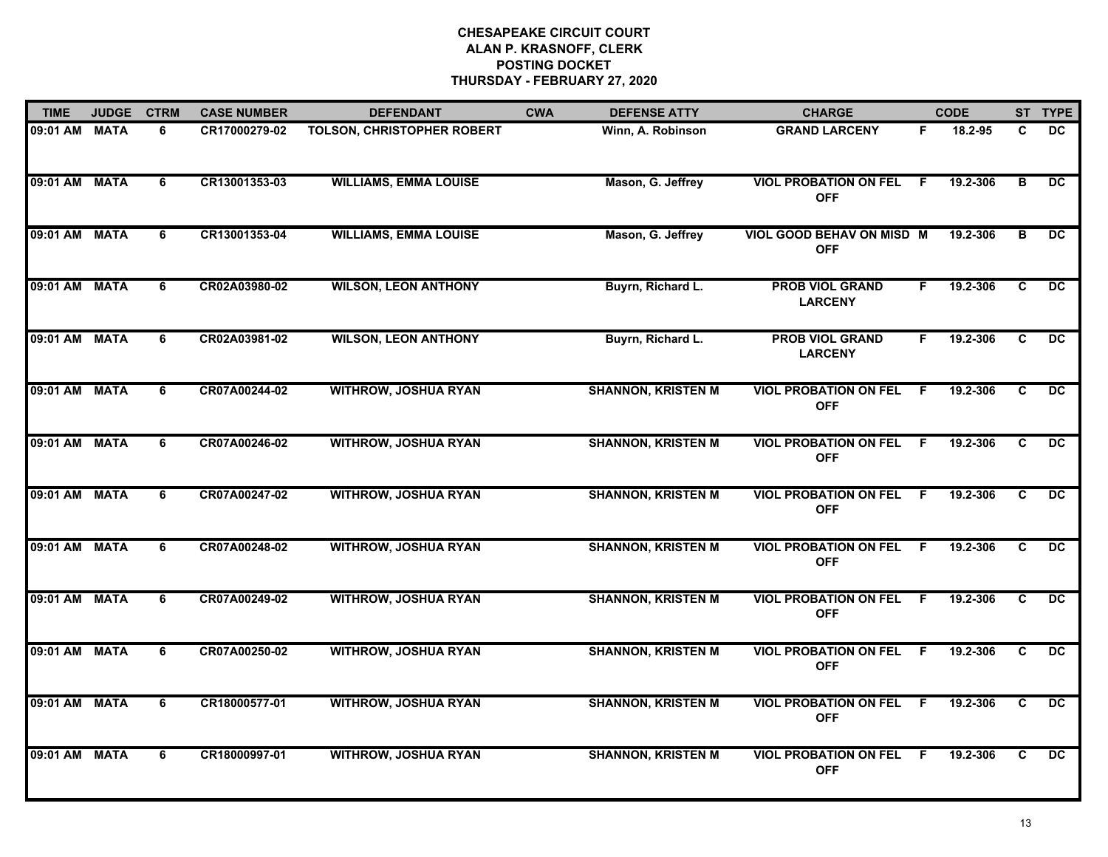| <b>TIME</b>   | <b>JUDGE</b> | <b>CTRM</b> | <b>CASE NUMBER</b> | <b>DEFENDANT</b>                  | <b>CWA</b> | <b>DEFENSE ATTY</b>       | <b>CHARGE</b>                              |     | <b>CODE</b> |    | ST TYPE         |
|---------------|--------------|-------------|--------------------|-----------------------------------|------------|---------------------------|--------------------------------------------|-----|-------------|----|-----------------|
| 09:01 AM MATA |              | 6           | CR17000279-02      | <b>TOLSON, CHRISTOPHER ROBERT</b> |            | Winn, A. Robinson         | <b>GRAND LARCENY</b>                       | F   | 18.2-95     | C. | DC.             |
| 09:01 AM MATA |              | 6           | CR13001353-03      | <b>WILLIAMS, EMMA LOUISE</b>      |            | Mason, G. Jeffrey         | <b>VIOL PROBATION ON FEL</b><br><b>OFF</b> | - F | 19.2-306    | B  | $\overline{DC}$ |
| 09:01 AM MATA |              | 6           | CR13001353-04      | <b>WILLIAMS, EMMA LOUISE</b>      |            | Mason, G. Jeffrey         | VIOL GOOD BEHAV ON MISD M<br><b>OFF</b>    |     | 19.2-306    | в  | $\overline{DC}$ |
| 09:01 AM MATA |              | 6           | CR02A03980-02      | <b>WILSON, LEON ANTHONY</b>       |            | Buyrn, Richard L.         | <b>PROB VIOL GRAND</b><br><b>LARCENY</b>   | F.  | 19.2-306    | C  | <b>DC</b>       |
| 09:01 AM MATA |              | 6           | CR02A03981-02      | <b>WILSON, LEON ANTHONY</b>       |            | Buyrn, Richard L.         | <b>PROB VIOL GRAND</b><br><b>LARCENY</b>   | F.  | 19.2-306    | C  | <b>DC</b>       |
| 09:01 AM MATA |              | 6           | CR07A00244-02      | <b>WITHROW, JOSHUA RYAN</b>       |            | <b>SHANNON, KRISTEN M</b> | <b>VIOL PROBATION ON FEL</b><br><b>OFF</b> | -F  | 19.2-306    | C  | DC.             |
| 09:01 AM MATA |              | 6           | CR07A00246-02      | <b>WITHROW, JOSHUA RYAN</b>       |            | <b>SHANNON, KRISTEN M</b> | <b>VIOL PROBATION ON FEL</b><br><b>OFF</b> | - F | 19.2-306    | C  | DC.             |
| 09:01 AM MATA |              | 6           | CR07A00247-02      | <b>WITHROW, JOSHUA RYAN</b>       |            | <b>SHANNON, KRISTEN M</b> | <b>VIOL PROBATION ON FEL</b><br><b>OFF</b> | -F  | 19.2-306    | C  | $\overline{DC}$ |
| 09:01 AM MATA |              | 6           | CR07A00248-02      | <b>WITHROW, JOSHUA RYAN</b>       |            | <b>SHANNON, KRISTEN M</b> | <b>VIOL PROBATION ON FEL</b><br><b>OFF</b> | E   | 19.2-306    | C  | <b>DC</b>       |
| 09:01 AM MATA |              | 6           | CR07A00249-02      | <b>WITHROW, JOSHUA RYAN</b>       |            | <b>SHANNON, KRISTEN M</b> | <b>VIOL PROBATION ON FEL</b><br><b>OFF</b> | F   | 19.2-306    | C  | <b>DC</b>       |
| 09:01 AM MATA |              | 6           | CR07A00250-02      | <b>WITHROW, JOSHUA RYAN</b>       |            | <b>SHANNON, KRISTEN M</b> | <b>VIOL PROBATION ON FEL</b><br><b>OFF</b> | -F  | 19.2-306    | C  | DC.             |
| 09:01 AM MATA |              | 6           | CR18000577-01      | <b>WITHROW, JOSHUA RYAN</b>       |            | <b>SHANNON, KRISTEN M</b> | <b>VIOL PROBATION ON FEL</b><br><b>OFF</b> | F.  | 19.2-306    | C  | $\overline{DC}$ |
| 09:01 AM MATA |              | 6           | CR18000997-01      | <b>WITHROW, JOSHUA RYAN</b>       |            | <b>SHANNON, KRISTEN M</b> | <b>VIOL PROBATION ON FEL</b><br><b>OFF</b> | -F  | 19.2-306    | C  | $\overline{DC}$ |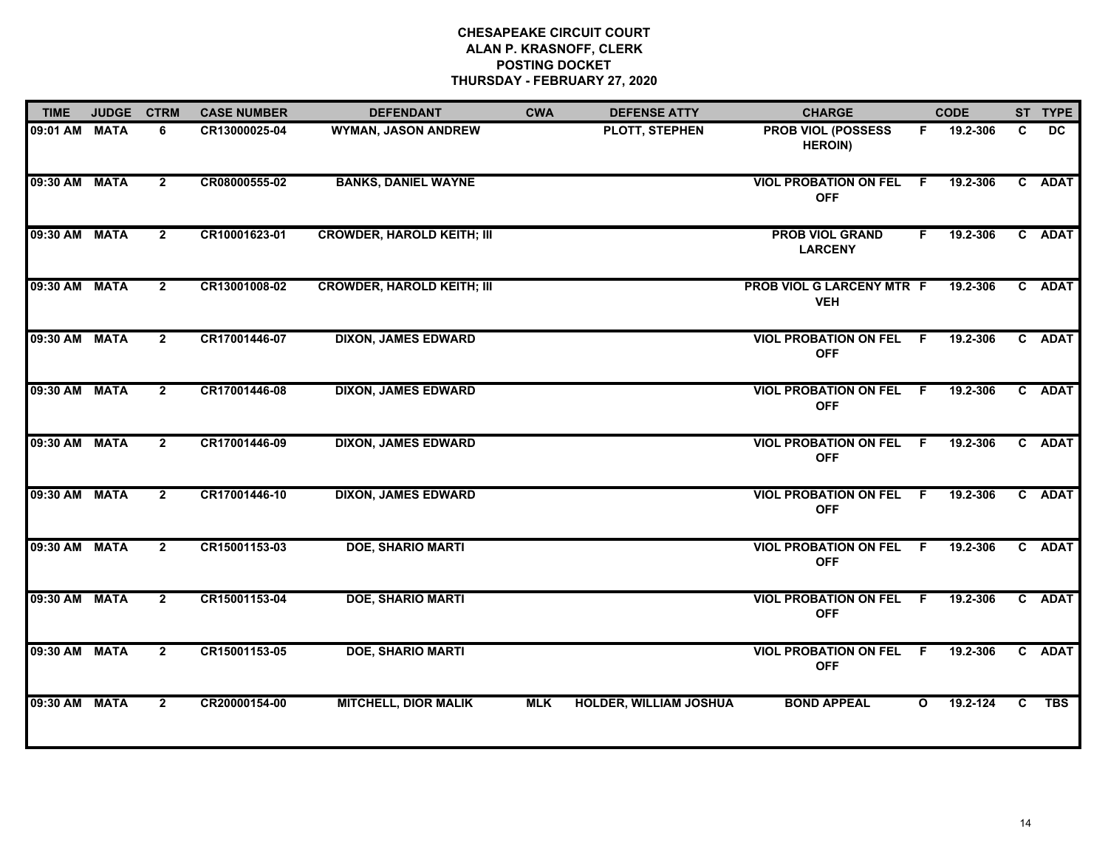| <b>TIME</b>   | <b>JUDGE</b> | <b>CTRM</b>    | <b>CASE NUMBER</b> | <b>DEFENDANT</b>                  | <b>CWA</b> | <b>DEFENSE ATTY</b>           | <b>CHARGE</b>                                |              | <b>CODE</b> |    | ST TYPE    |
|---------------|--------------|----------------|--------------------|-----------------------------------|------------|-------------------------------|----------------------------------------------|--------------|-------------|----|------------|
| 09:01 AM      | <b>MATA</b>  | 6              | CR13000025-04      | <b>WYMAN, JASON ANDREW</b>        |            | PLOTT, STEPHEN                | <b>PROB VIOL (POSSESS</b><br><b>HEROIN)</b>  | F.           | 19.2-306    | C  | DC         |
| 09:30 AM MATA |              | $\overline{2}$ | CR08000555-02      | <b>BANKS, DANIEL WAYNE</b>        |            |                               | <b>VIOL PROBATION ON FEL</b><br><b>OFF</b>   | - F          | 19.2-306    |    | C ADAT     |
| 09:30 AM MATA |              | $\overline{2}$ | CR10001623-01      | <b>CROWDER, HAROLD KEITH; III</b> |            |                               | <b>PROB VIOL GRAND</b><br><b>LARCENY</b>     | F.           | 19.2-306    |    | C ADAT     |
| 09:30 AM MATA |              | $\overline{2}$ | CR13001008-02      | <b>CROWDER, HAROLD KEITH; III</b> |            |                               | PROB VIOL G LARCENY MTR F<br><b>VEH</b>      |              | 19.2-306    |    | C ADAT     |
| 09:30 AM MATA |              | $\overline{2}$ | CR17001446-07      | <b>DIXON, JAMES EDWARD</b>        |            |                               | <b>VIOL PROBATION ON FEL F</b><br><b>OFF</b> |              | 19.2-306    |    | C ADAT     |
| 09:30 AM MATA |              | $\overline{2}$ | CR17001446-08      | <b>DIXON, JAMES EDWARD</b>        |            |                               | <b>VIOL PROBATION ON FEL F</b><br><b>OFF</b> |              | 19.2-306    |    | C ADAT     |
| 09:30 AM MATA |              | $\overline{2}$ | CR17001446-09      | <b>DIXON, JAMES EDWARD</b>        |            |                               | <b>VIOL PROBATION ON FEL F</b><br><b>OFF</b> |              | 19.2-306    |    | C ADAT     |
| 09:30 AM MATA |              | $\overline{2}$ | CR17001446-10      | <b>DIXON, JAMES EDWARD</b>        |            |                               | <b>VIOL PROBATION ON FEL F</b><br><b>OFF</b> |              | 19.2-306    |    | C ADAT     |
| 09:30 AM MATA |              | $\overline{2}$ | CR15001153-03      | <b>DOE, SHARIO MARTI</b>          |            |                               | <b>VIOL PROBATION ON FEL F</b><br><b>OFF</b> |              | 19.2-306    |    | C ADAT     |
| 09:30 AM MATA |              | $\overline{2}$ | CR15001153-04      | <b>DOE, SHARIO MARTI</b>          |            |                               | <b>VIOL PROBATION ON FEL F</b><br><b>OFF</b> |              | 19.2-306    |    | C ADAT     |
| 09:30 AM MATA |              | $\overline{2}$ | CR15001153-05      | <b>DOE, SHARIO MARTI</b>          |            |                               | <b>VIOL PROBATION ON FEL F</b><br><b>OFF</b> |              | 19.2-306    |    | C ADAT     |
| 09:30 AM MATA |              | $\mathbf{2}$   | CR20000154-00      | <b>MITCHELL, DIOR MALIK</b>       | <b>MLK</b> | <b>HOLDER, WILLIAM JOSHUA</b> | <b>BOND APPEAL</b>                           | $\mathbf{o}$ | 19.2-124    | C. | <b>TBS</b> |